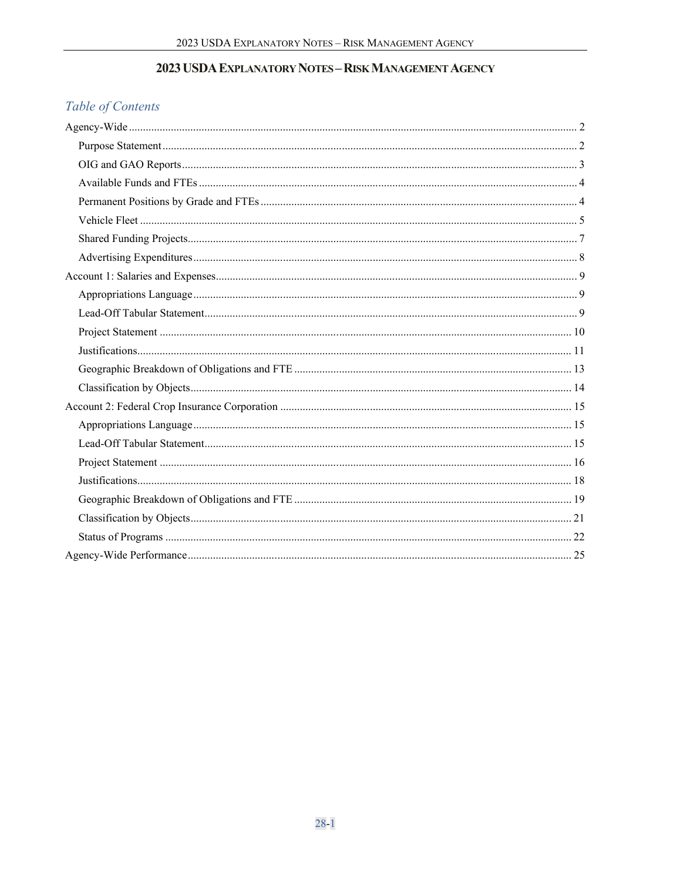# 2023 USDA EXPLANATORY NOTES - RISK MANAGEMENT AGENCY

# Table of Contents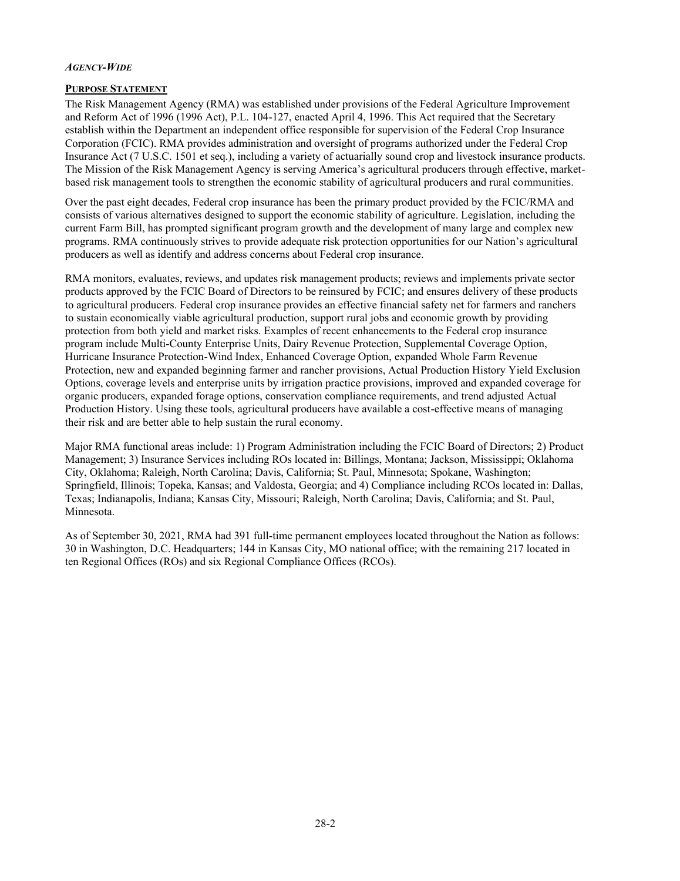#### <span id="page-1-0"></span>*AGENCY-WIDE*

#### <span id="page-1-1"></span>**PURPOSE STATEMENT**

The Risk Management Agency (RMA) was established under provisions of the Federal Agriculture Improvement and Reform Act of 1996 (1996 Act), P.L. 104-127, enacted April 4, 1996. This Act required that the Secretary establish within the Department an independent office responsible for supervision of the Federal Crop Insurance Corporation (FCIC). RMA provides administration and oversight of programs authorized under the Federal Crop Insurance Act (7 U.S.C. 1501 et seq.), including a variety of actuarially sound crop and livestock insurance products. The Mission of the Risk Management Agency is serving America's agricultural producers through effective, marketbased risk management tools to strengthen the economic stability of agricultural producers and rural communities.

Over the past eight decades, Federal crop insurance has been the primary product provided by the FCIC/RMA and consists of various alternatives designed to support the economic stability of agriculture. Legislation, including the current Farm Bill, has prompted significant program growth and the development of many large and complex new programs. RMA continuously strives to provide adequate risk protection opportunities for our Nation's agricultural producers as well as identify and address concerns about Federal crop insurance.

RMA monitors, evaluates, reviews, and updates risk management products; reviews and implements private sector products approved by the FCIC Board of Directors to be reinsured by FCIC; and ensures delivery of these products to agricultural producers. Federal crop insurance provides an effective financial safety net for farmers and ranchers to sustain economically viable agricultural production, support rural jobs and economic growth by providing protection from both yield and market risks. Examples of recent enhancements to the Federal crop insurance program include Multi-County Enterprise Units, Dairy Revenue Protection, Supplemental Coverage Option, Hurricane Insurance Protection-Wind Index, Enhanced Coverage Option, expanded Whole Farm Revenue Protection, new and expanded beginning farmer and rancher provisions, Actual Production History Yield Exclusion Options, coverage levels and enterprise units by irrigation practice provisions, improved and expanded coverage for organic producers, expanded forage options, conservation compliance requirements, and trend adjusted Actual Production History. Using these tools, agricultural producers have available a cost-effective means of managing their risk and are better able to help sustain the rural economy.

Major RMA functional areas include: 1) Program Administration including the FCIC Board of Directors; 2) Product Management; 3) Insurance Services including ROs located in: Billings, Montana; Jackson, Mississippi; Oklahoma City, Oklahoma; Raleigh, North Carolina; Davis, California; St. Paul, Minnesota; Spokane, Washington; Springfield, Illinois; Topeka, Kansas; and Valdosta, Georgia; and 4) Compliance including RCOs located in: Dallas, Texas; Indianapolis, Indiana; Kansas City, Missouri; Raleigh, North Carolina; Davis, California; and St. Paul, Minnesota.

As of September 30, 2021, RMA had 391 full-time permanent employees located throughout the Nation as follows: 30 in Washington, D.C. Headquarters; 144 in Kansas City, MO national office; with the remaining 217 located in ten Regional Offices (ROs) and six Regional Compliance Offices (RCOs).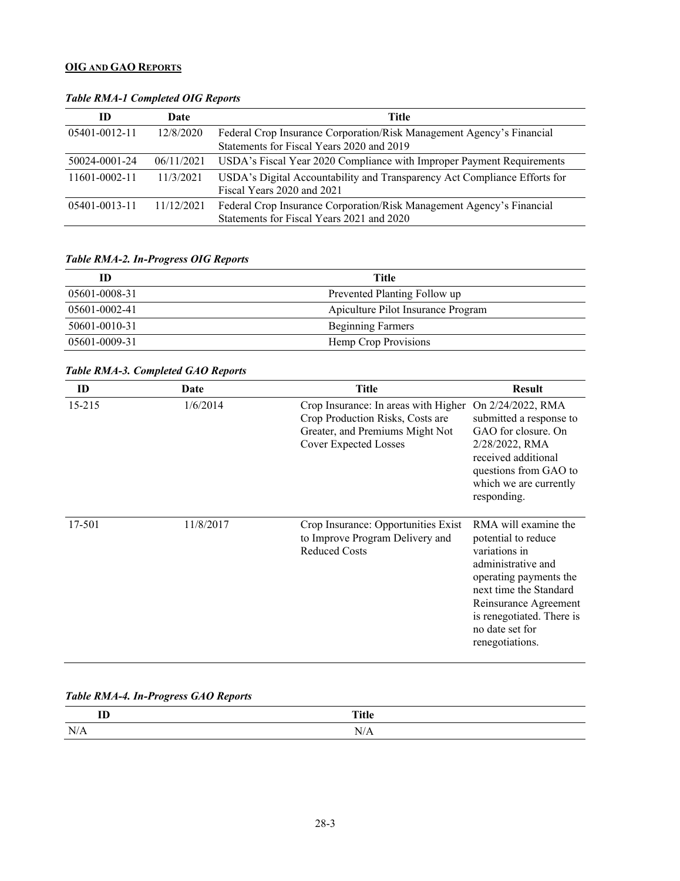### <span id="page-2-0"></span>**OIG AND GAO REPORTS**

| ID            | Date       | Title                                                                                                              |
|---------------|------------|--------------------------------------------------------------------------------------------------------------------|
| 05401-0012-11 | 12/8/2020  | Federal Crop Insurance Corporation/Risk Management Agency's Financial<br>Statements for Fiscal Years 2020 and 2019 |
| 50024-0001-24 | 06/11/2021 | USDA's Fiscal Year 2020 Compliance with Improper Payment Requirements                                              |
| 11601-0002-11 | 11/3/2021  | USDA's Digital Accountability and Transparency Act Compliance Efforts for<br>Fiscal Years 2020 and 2021            |
| 05401-0013-11 | 11/12/2021 | Federal Crop Insurance Corporation/Risk Management Agency's Financial<br>Statements for Fiscal Years 2021 and 2020 |

### *Table RMA-1 Completed OIG Reports*

### *Table RMA-2. In-Progress OIG Reports*

| ID            | Title                              |
|---------------|------------------------------------|
| 05601-0008-31 | Prevented Planting Follow up       |
| 05601-0002-41 | Apiculture Pilot Insurance Program |
| 50601-0010-31 | <b>Beginning Farmers</b>           |
| 05601-0009-31 | Hemp Crop Provisions               |

# *Table RMA-3. Completed GAO Reports*

| ID         | Date      | <b>Title</b>                                                                                                                                | <b>Result</b>                                                                                                                                                                                                                      |
|------------|-----------|---------------------------------------------------------------------------------------------------------------------------------------------|------------------------------------------------------------------------------------------------------------------------------------------------------------------------------------------------------------------------------------|
| $15 - 215$ | 1/6/2014  | Crop Insurance: In areas with Higher<br>Crop Production Risks, Costs are<br>Greater, and Premiums Might Not<br><b>Cover Expected Losses</b> | On 2/24/2022, RMA<br>submitted a response to<br>GAO for closure. On<br>2/28/2022, RMA<br>received additional<br>questions from GAO to<br>which we are currently<br>responding.                                                     |
| 17-501     | 11/8/2017 | Crop Insurance: Opportunities Exist<br>to Improve Program Delivery and<br><b>Reduced Costs</b>                                              | RMA will examine the<br>potential to reduce<br>variations in<br>administrative and<br>operating payments the<br>next time the Standard<br>Reinsurance Agreement<br>is renegotiated. There is<br>no date set for<br>renegotiations. |

# *Table RMA-4. In-Progress GAO Reports*

| $-$<br>. . |   |
|------------|---|
| $\sim$     | - |
| A.         | N |
|            |   |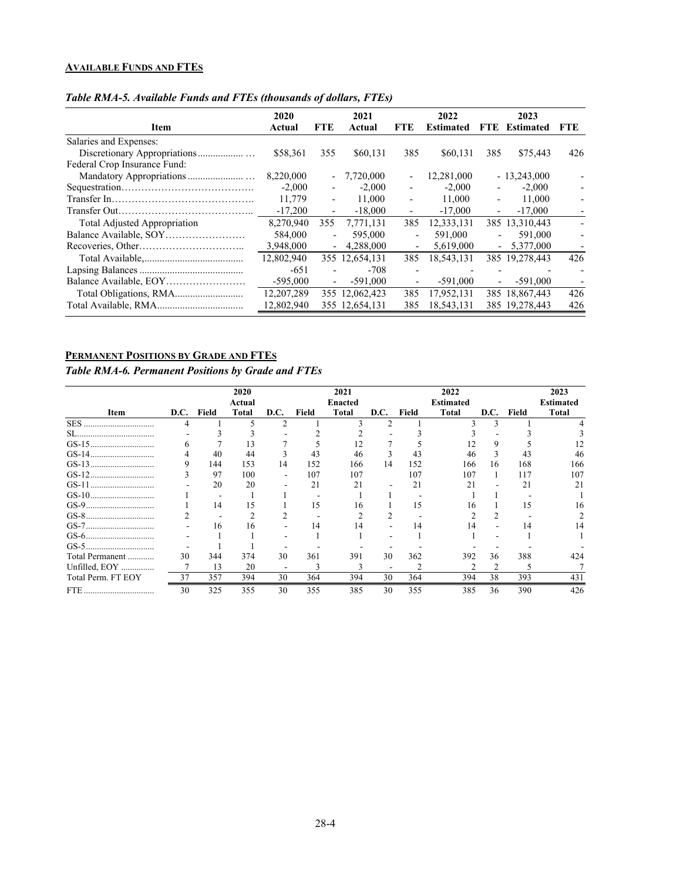# <span id="page-3-0"></span>**AVAILABLE FUNDS AND FTES**

| Item                         | 2020<br>Actual | <b>FTE</b>               | 2021<br>Actual | <b>FTE</b>               | 2022<br><b>Estimated</b> | FTE.                     | 2023<br><b>Estimated</b> | FTE.                     |
|------------------------------|----------------|--------------------------|----------------|--------------------------|--------------------------|--------------------------|--------------------------|--------------------------|
|                              |                |                          |                |                          |                          |                          |                          |                          |
| Salaries and Expenses:       |                |                          |                |                          |                          |                          |                          |                          |
|                              | \$58,361       | 355                      | \$60,131       | 385                      | \$60,131                 | 385                      | \$75,443                 | 426                      |
| Federal Crop Insurance Fund: |                |                          |                |                          |                          |                          |                          |                          |
|                              | 8,220,000      |                          | $-7,720,000$   | $\overline{\phantom{a}}$ | 12,281,000               |                          | $-13,243,000$            |                          |
|                              | $-2.000$       | $\overline{\phantom{a}}$ | $-2,000$       |                          | $-2,000$                 |                          | $-2,000$                 |                          |
|                              | 11,779         | $\overline{\phantom{a}}$ | 11,000         | $\overline{\phantom{a}}$ | 11,000                   | $\overline{\phantom{0}}$ | 11,000                   |                          |
|                              | $-17,200$      | $\overline{\phantom{a}}$ | $-18,000$      | $\overline{\phantom{a}}$ | $-17,000$                | $\overline{\phantom{0}}$ | $-17,000$                |                          |
| Total Adjusted Appropriation | 8,270,940      | 355                      | 7,771,131      | 385                      | 12.333.131               |                          | 385 13,310,443           | $\overline{\phantom{0}}$ |
|                              | 584,000        | $\overline{\phantom{a}}$ | 595,000        | $\overline{a}$           | 591,000                  |                          | 591,000                  |                          |
|                              | 3,948,000      | $\overline{\phantom{0}}$ | 4,288,000      | $\overline{\phantom{0}}$ | 5,619,000                | $\overline{\phantom{0}}$ | 5,377,000                |                          |
|                              | 12,802,940     |                          | 355 12,654,131 | 385                      | 18,543,131               |                          | 385 19,278,443           | 426                      |
|                              | $-651$         |                          | $-708$         |                          |                          |                          |                          |                          |
|                              | $-595,000$     | $\overline{\phantom{a}}$ | $-591,000$     | $\overline{\phantom{a}}$ | $-591,000$               | $\overline{\phantom{a}}$ | $-591,000$               |                          |
|                              | 12,207,289     |                          | 355 12,062,423 | 385                      | 17,952,131               |                          | 385 18.867,443           | 426                      |
|                              | 12,802,940     |                          | 355 12,654,131 | 385                      | 18,543,131               |                          | 385 19,278,443           | 426                      |
|                              |                |                          |                |                          |                          |                          |                          |                          |

#### *Table RMA-5. Available Funds and FTEs (thousands of dollars, FTEs)*

# <span id="page-3-1"></span>**PERMANENT POSITIONS BY GRADE AND FTES**

#### *Table RMA-6. Permanent Positions by Grade and FTEs*

|                    |    |            | 2020   |                          |       | 2021    |      |       | 2022             |                |       | 2023             |
|--------------------|----|------------|--------|--------------------------|-------|---------|------|-------|------------------|----------------|-------|------------------|
|                    |    |            | Actual |                          |       | Enacted |      |       | <b>Estimated</b> |                |       | <b>Estimated</b> |
| Item               |    | D.C. Field | Total  | D.C.                     | Field | Total   | D.C. | Field | Total            | D.C.           | Field | <b>Total</b>     |
| <b>SES</b><br>     |    |            |        |                          |       |         |      |       |                  |                |       |                  |
|                    |    |            |        |                          |       |         |      |       |                  |                |       |                  |
|                    | n  |            | 13     |                          |       |         |      |       |                  |                |       |                  |
|                    |    | 40         | 44     |                          | 43    | 46      |      | 43    | 46               |                |       | 46               |
|                    |    | 144        | 153    | 14                       | 152   | 166     | 14   | 152   | 166              | 16             | 168   | 166              |
|                    | Ć  | 97         | 100    |                          | 107   | 107     |      | 107   | 107              |                | 117   | 107              |
|                    |    | 20         | 20     |                          | 21    | 21      |      | 21    | 21               |                | 21    | 21               |
|                    |    |            |        |                          |       |         |      |       |                  |                |       |                  |
|                    |    | 14         | 15     |                          | 15.   | 16      |      | 15    | 16               |                | 15    | 16               |
|                    |    |            |        |                          |       |         |      |       |                  |                |       |                  |
|                    |    | 16         | 16     |                          | 14    | 14      |      | 14    | 14               |                | 14    |                  |
|                    |    |            |        |                          |       |         |      |       |                  |                |       |                  |
|                    |    |            |        |                          |       |         |      |       |                  |                |       |                  |
| Total Permanent    | 30 | 344        | 374    | 30                       | 361   | 391     | 30   | 362   | 392              | 36             | 388   | 424              |
| Unfilled, EOY      |    | 13         | 20     | $\overline{\phantom{a}}$ |       |         |      |       | $\mathfrak{D}$   | $\mathfrak{D}$ |       |                  |
| Total Perm. FT EOY | 37 | 357        | 394    | 30                       | 364   | 394     | 30   | 364   | 394              | 38             | 393   | 431              |
|                    | 30 | 325        | 355    | 30                       | 355   | 385     | 30   | 355   | 385              | 36             | 390   | 426              |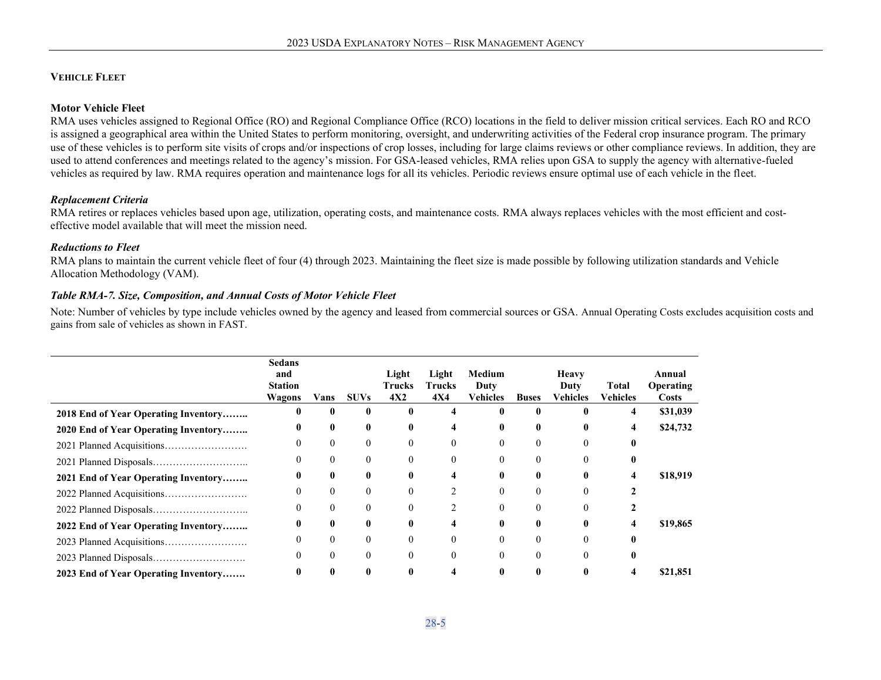#### **VEHICLE FLEET**

#### **Motor Vehicle Fleet**

RMA uses vehicles assigned to Regional Office (RO) and Regional Compliance Office (RCO) locations in the field to deliver mission critical services. Each RO and RCO is assigned a geographical area within the United States to perform monitoring, oversight, and underwriting activities of the Federal crop insurance program. The primary use of these vehicles is to perform site visits of crops and/or inspections of crop losses, including for large claims reviews or other compliance reviews. In addition, they are used to attend conferences and meetings related to the agency's mission. For GSA-leased vehicles, RMA relies upon GSA to supply the agency with alternative-fueled vehicles as required by law. RMA requires operation and maintenance logs for all its vehicles. Periodic reviews ensure optimal use of each vehicle in the fleet.

#### *Replacement Criteria*

RMA retires or replaces vehicles based upon age, utilization, operating costs, and maintenance costs. RMA always replaces vehicles with the most efficient and costeffective model available that will meet the mission need.

#### *Reductions to Fleet*

<span id="page-4-0"></span>RMA plans to maintain the current vehicle fleet of four (4) through 2023. Maintaining the fleet size is made possible by following utilization standards and Vehicle Allocation Methodology (VAM).

#### *Table RMA-7. Size, Composition, and Annual Costs of Motor Vehicle Fleet*

Note: Number of vehicles by type include vehicles owned by the agency and leased from commercial sources or GSA. Annual Operating Costs excludes acquisition costs and gains from sale of vehicles as shown in FAST.

|                                      | <b>Sedans</b><br>and<br><b>Station</b><br><b>Wagons</b> | Vans             | <b>SUVs</b>  | Light<br>Trucks<br>4X2 | Light<br>Trucks<br><b>4X4</b> | Medium<br>Duty<br>Vehicles | <b>Buses</b> | <b>Heavy</b><br>Duty<br>Vehicles | Total<br><b>Vehicles</b> | Annual<br><b>Operating</b><br><b>Costs</b> |
|--------------------------------------|---------------------------------------------------------|------------------|--------------|------------------------|-------------------------------|----------------------------|--------------|----------------------------------|--------------------------|--------------------------------------------|
| 2018 End of Year Operating Inventory |                                                         | $\bf{0}$         | $\mathbf{0}$ |                        |                               | 0                          |              |                                  | 4                        | \$31,039                                   |
| 2020 End of Year Operating Inventory |                                                         | $\mathbf{0}$     | $\mathbf{0}$ | 0                      | 4                             | 0                          | 0            |                                  | 4                        | \$24,732                                   |
|                                      |                                                         | $\boldsymbol{0}$ | $\mathbf{0}$ |                        | 0                             |                            |              |                                  |                          |                                            |
|                                      |                                                         | $\boldsymbol{0}$ | $\theta$     |                        | 0                             | $\Omega$                   | 0            |                                  |                          |                                            |
| 2021 End of Year Operating Inventory | 0                                                       | $\bf{0}$         | 0            | 0                      | 4                             | 0                          | 0            |                                  | 4                        | \$18,919                                   |
|                                      |                                                         | $\boldsymbol{0}$ | $\theta$     |                        |                               |                            |              |                                  |                          |                                            |
|                                      |                                                         | $\theta$         | $\theta$     | $\theta$               | 2                             | $\theta$                   | 0            |                                  |                          |                                            |
| 2022 End of Year Operating Inventory | 0                                                       | $\bf{0}$         | $\mathbf{0}$ | 0                      | 4                             | 0                          | 0            |                                  |                          | \$19,865                                   |
|                                      | 0                                                       | $\boldsymbol{0}$ | $\theta$     |                        | 0                             |                            | $\Omega$     |                                  |                          |                                            |
|                                      |                                                         | $\boldsymbol{0}$ | $\theta$     |                        | $\theta$                      | $\Omega$                   | $\Omega$     |                                  |                          |                                            |
| 2023 End of Year Operating Inventory |                                                         | $\mathbf{0}$     | $\mathbf{0}$ |                        |                               |                            |              |                                  |                          | \$21,851                                   |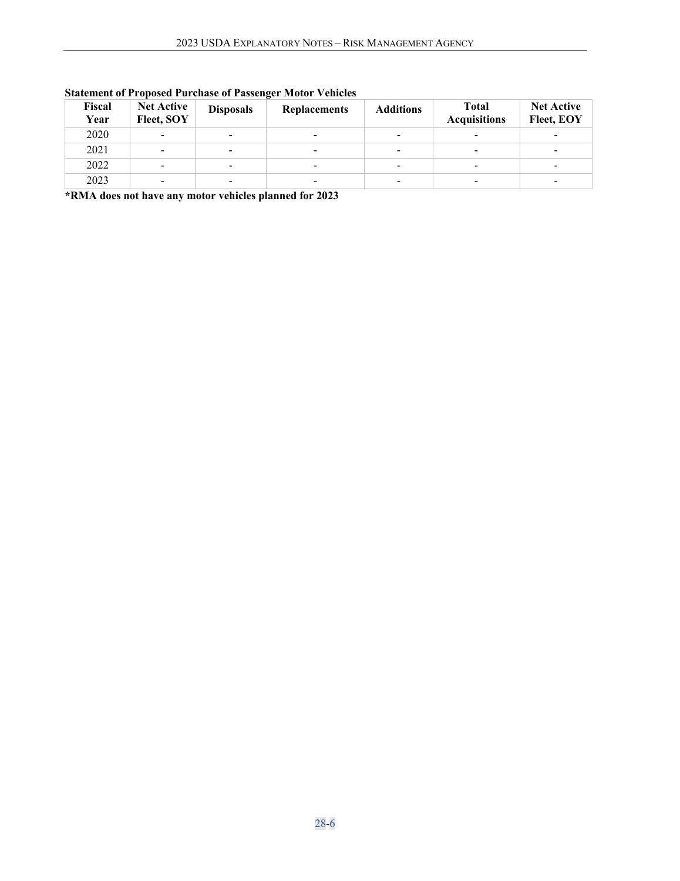| Fiscal<br>Year | <b>Net Active</b><br>Fleet, SOY | <b>Disposals</b>         | <b>Replacements</b>      | <b>Additions</b>         | <b>Total</b><br><b>Acquisitions</b> | <b>Net Active</b><br>Fleet, EOY |
|----------------|---------------------------------|--------------------------|--------------------------|--------------------------|-------------------------------------|---------------------------------|
| 2020           |                                 | $\overline{\phantom{a}}$ |                          | -                        |                                     |                                 |
| 2021           | ۰                               | $\overline{\phantom{a}}$ | $\overline{\phantom{a}}$ | $\overline{\phantom{0}}$ | $\overline{\phantom{a}}$            | $\overline{\phantom{a}}$        |
| 2022           |                                 | $\overline{\phantom{0}}$ | ۰                        | $\overline{\phantom{0}}$ | -                                   | -                               |
| 2023           |                                 | $\overline{\phantom{0}}$ | -                        | $\overline{\phantom{0}}$ | $\overline{\phantom{a}}$            | -                               |

# **Statement of Proposed Purchase of Passenger Motor Vehicles**

**\*RMA does not have any motor vehicles planned for 2023**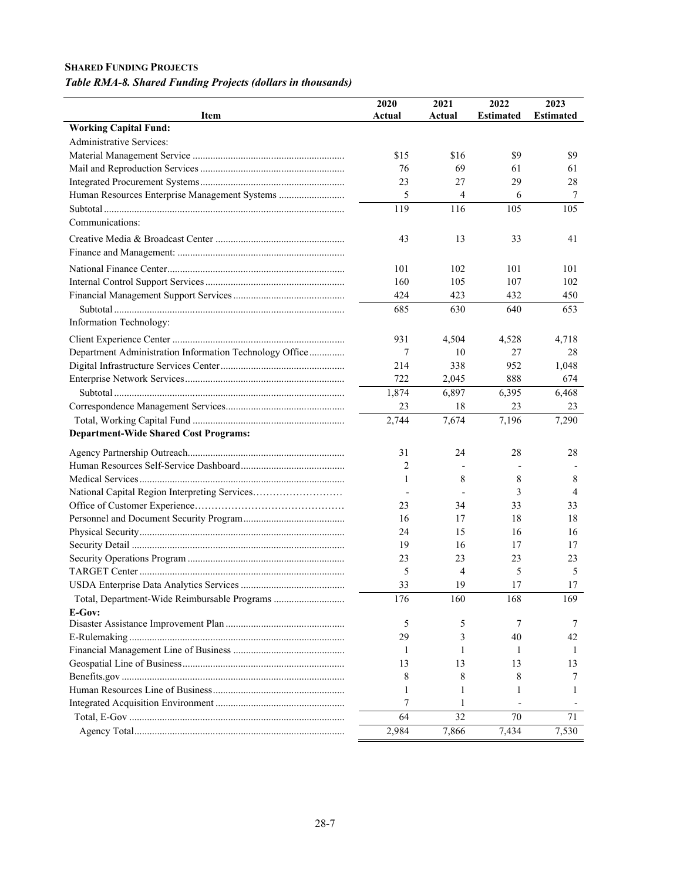#### <span id="page-6-0"></span>**SHARED FUNDING PROJECTS**

# *Table RMA-8. Shared Funding Projects (dollars in thousands)*

| Actual<br><b>Working Capital Fund:</b><br>Administrative Services:<br>\$15<br>\$16<br>\$9<br>\$9<br>61<br>61<br>76<br>69<br>23<br>27<br>29<br>28<br>5<br>4<br>Human Resources Enterprise Management Systems<br>6<br>7<br>119<br>105<br>116<br>105<br>Communications:<br>43<br>13<br>33<br>41<br>101<br>102<br>101<br>101<br>160<br>105<br>107<br>102<br>424<br>423<br>432<br>450<br>640<br>685<br>630<br>653<br>Information Technology:<br>931<br>4,504<br>4,528<br>4,718<br>Department Administration Information Technology Office<br>7<br>27<br>28<br>10<br>214<br>338<br>952<br>1,048<br>722<br>888<br>2,045<br>674<br>1,874<br>6,897<br>6,395<br>6,468<br>23<br>23<br>18<br>23<br>2,744<br>$\overline{7,196}$<br>7,674<br>7,290<br><b>Department-Wide Shared Cost Programs:</b><br>28<br>28<br>31<br>24<br>2<br>8<br>8<br>8<br>1<br>National Capital Region Interpreting Services<br>3<br>$\overline{4}$<br>33<br>33<br>23<br>34<br>18<br>17<br>18<br>16<br>24<br>15<br>16<br>16<br>19<br>16<br>17<br>17<br>23<br>23<br>23<br>23<br>5<br>4<br>5<br>5<br>33<br>17<br>17<br>19<br>Total, Department-Wide Reimbursable Programs<br>176<br>160<br>168<br>169<br>E-Gov:<br>5<br>5<br>7<br>40<br>42<br>29<br>3<br>1<br>1<br>-1<br>-1<br>13<br>13<br>13<br>13<br>8<br>8<br>8<br>7<br>1<br>1<br>1<br>1<br>7<br>1<br>64<br>32<br>70<br>71<br>2,984<br>7,866<br>7,434<br>7,530 |      | 2020   | 2021 | 2022             | 2023             |
|---------------------------------------------------------------------------------------------------------------------------------------------------------------------------------------------------------------------------------------------------------------------------------------------------------------------------------------------------------------------------------------------------------------------------------------------------------------------------------------------------------------------------------------------------------------------------------------------------------------------------------------------------------------------------------------------------------------------------------------------------------------------------------------------------------------------------------------------------------------------------------------------------------------------------------------------------------------------------------------------------------------------------------------------------------------------------------------------------------------------------------------------------------------------------------------------------------------------------------------------------------------------------------------------------------------------------------------------------------------------------|------|--------|------|------------------|------------------|
|                                                                                                                                                                                                                                                                                                                                                                                                                                                                                                                                                                                                                                                                                                                                                                                                                                                                                                                                                                                                                                                                                                                                                                                                                                                                                                                                                                           | Item | Actual |      | <b>Estimated</b> | <b>Estimated</b> |
|                                                                                                                                                                                                                                                                                                                                                                                                                                                                                                                                                                                                                                                                                                                                                                                                                                                                                                                                                                                                                                                                                                                                                                                                                                                                                                                                                                           |      |        |      |                  |                  |
|                                                                                                                                                                                                                                                                                                                                                                                                                                                                                                                                                                                                                                                                                                                                                                                                                                                                                                                                                                                                                                                                                                                                                                                                                                                                                                                                                                           |      |        |      |                  |                  |
|                                                                                                                                                                                                                                                                                                                                                                                                                                                                                                                                                                                                                                                                                                                                                                                                                                                                                                                                                                                                                                                                                                                                                                                                                                                                                                                                                                           |      |        |      |                  |                  |
|                                                                                                                                                                                                                                                                                                                                                                                                                                                                                                                                                                                                                                                                                                                                                                                                                                                                                                                                                                                                                                                                                                                                                                                                                                                                                                                                                                           |      |        |      |                  |                  |
|                                                                                                                                                                                                                                                                                                                                                                                                                                                                                                                                                                                                                                                                                                                                                                                                                                                                                                                                                                                                                                                                                                                                                                                                                                                                                                                                                                           |      |        |      |                  |                  |
|                                                                                                                                                                                                                                                                                                                                                                                                                                                                                                                                                                                                                                                                                                                                                                                                                                                                                                                                                                                                                                                                                                                                                                                                                                                                                                                                                                           |      |        |      |                  |                  |
|                                                                                                                                                                                                                                                                                                                                                                                                                                                                                                                                                                                                                                                                                                                                                                                                                                                                                                                                                                                                                                                                                                                                                                                                                                                                                                                                                                           |      |        |      |                  |                  |
|                                                                                                                                                                                                                                                                                                                                                                                                                                                                                                                                                                                                                                                                                                                                                                                                                                                                                                                                                                                                                                                                                                                                                                                                                                                                                                                                                                           |      |        |      |                  |                  |
|                                                                                                                                                                                                                                                                                                                                                                                                                                                                                                                                                                                                                                                                                                                                                                                                                                                                                                                                                                                                                                                                                                                                                                                                                                                                                                                                                                           |      |        |      |                  |                  |
|                                                                                                                                                                                                                                                                                                                                                                                                                                                                                                                                                                                                                                                                                                                                                                                                                                                                                                                                                                                                                                                                                                                                                                                                                                                                                                                                                                           |      |        |      |                  |                  |
|                                                                                                                                                                                                                                                                                                                                                                                                                                                                                                                                                                                                                                                                                                                                                                                                                                                                                                                                                                                                                                                                                                                                                                                                                                                                                                                                                                           |      |        |      |                  |                  |
|                                                                                                                                                                                                                                                                                                                                                                                                                                                                                                                                                                                                                                                                                                                                                                                                                                                                                                                                                                                                                                                                                                                                                                                                                                                                                                                                                                           |      |        |      |                  |                  |
|                                                                                                                                                                                                                                                                                                                                                                                                                                                                                                                                                                                                                                                                                                                                                                                                                                                                                                                                                                                                                                                                                                                                                                                                                                                                                                                                                                           |      |        |      |                  |                  |
|                                                                                                                                                                                                                                                                                                                                                                                                                                                                                                                                                                                                                                                                                                                                                                                                                                                                                                                                                                                                                                                                                                                                                                                                                                                                                                                                                                           |      |        |      |                  |                  |
|                                                                                                                                                                                                                                                                                                                                                                                                                                                                                                                                                                                                                                                                                                                                                                                                                                                                                                                                                                                                                                                                                                                                                                                                                                                                                                                                                                           |      |        |      |                  |                  |
|                                                                                                                                                                                                                                                                                                                                                                                                                                                                                                                                                                                                                                                                                                                                                                                                                                                                                                                                                                                                                                                                                                                                                                                                                                                                                                                                                                           |      |        |      |                  |                  |
|                                                                                                                                                                                                                                                                                                                                                                                                                                                                                                                                                                                                                                                                                                                                                                                                                                                                                                                                                                                                                                                                                                                                                                                                                                                                                                                                                                           |      |        |      |                  |                  |
|                                                                                                                                                                                                                                                                                                                                                                                                                                                                                                                                                                                                                                                                                                                                                                                                                                                                                                                                                                                                                                                                                                                                                                                                                                                                                                                                                                           |      |        |      |                  |                  |
|                                                                                                                                                                                                                                                                                                                                                                                                                                                                                                                                                                                                                                                                                                                                                                                                                                                                                                                                                                                                                                                                                                                                                                                                                                                                                                                                                                           |      |        |      |                  |                  |
|                                                                                                                                                                                                                                                                                                                                                                                                                                                                                                                                                                                                                                                                                                                                                                                                                                                                                                                                                                                                                                                                                                                                                                                                                                                                                                                                                                           |      |        |      |                  |                  |
|                                                                                                                                                                                                                                                                                                                                                                                                                                                                                                                                                                                                                                                                                                                                                                                                                                                                                                                                                                                                                                                                                                                                                                                                                                                                                                                                                                           |      |        |      |                  |                  |
|                                                                                                                                                                                                                                                                                                                                                                                                                                                                                                                                                                                                                                                                                                                                                                                                                                                                                                                                                                                                                                                                                                                                                                                                                                                                                                                                                                           |      |        |      |                  |                  |
|                                                                                                                                                                                                                                                                                                                                                                                                                                                                                                                                                                                                                                                                                                                                                                                                                                                                                                                                                                                                                                                                                                                                                                                                                                                                                                                                                                           |      |        |      |                  |                  |
|                                                                                                                                                                                                                                                                                                                                                                                                                                                                                                                                                                                                                                                                                                                                                                                                                                                                                                                                                                                                                                                                                                                                                                                                                                                                                                                                                                           |      |        |      |                  |                  |
|                                                                                                                                                                                                                                                                                                                                                                                                                                                                                                                                                                                                                                                                                                                                                                                                                                                                                                                                                                                                                                                                                                                                                                                                                                                                                                                                                                           |      |        |      |                  |                  |
|                                                                                                                                                                                                                                                                                                                                                                                                                                                                                                                                                                                                                                                                                                                                                                                                                                                                                                                                                                                                                                                                                                                                                                                                                                                                                                                                                                           |      |        |      |                  |                  |
|                                                                                                                                                                                                                                                                                                                                                                                                                                                                                                                                                                                                                                                                                                                                                                                                                                                                                                                                                                                                                                                                                                                                                                                                                                                                                                                                                                           |      |        |      |                  |                  |
|                                                                                                                                                                                                                                                                                                                                                                                                                                                                                                                                                                                                                                                                                                                                                                                                                                                                                                                                                                                                                                                                                                                                                                                                                                                                                                                                                                           |      |        |      |                  |                  |
|                                                                                                                                                                                                                                                                                                                                                                                                                                                                                                                                                                                                                                                                                                                                                                                                                                                                                                                                                                                                                                                                                                                                                                                                                                                                                                                                                                           |      |        |      |                  |                  |
|                                                                                                                                                                                                                                                                                                                                                                                                                                                                                                                                                                                                                                                                                                                                                                                                                                                                                                                                                                                                                                                                                                                                                                                                                                                                                                                                                                           |      |        |      |                  |                  |
|                                                                                                                                                                                                                                                                                                                                                                                                                                                                                                                                                                                                                                                                                                                                                                                                                                                                                                                                                                                                                                                                                                                                                                                                                                                                                                                                                                           |      |        |      |                  |                  |
|                                                                                                                                                                                                                                                                                                                                                                                                                                                                                                                                                                                                                                                                                                                                                                                                                                                                                                                                                                                                                                                                                                                                                                                                                                                                                                                                                                           |      |        |      |                  |                  |
|                                                                                                                                                                                                                                                                                                                                                                                                                                                                                                                                                                                                                                                                                                                                                                                                                                                                                                                                                                                                                                                                                                                                                                                                                                                                                                                                                                           |      |        |      |                  |                  |
|                                                                                                                                                                                                                                                                                                                                                                                                                                                                                                                                                                                                                                                                                                                                                                                                                                                                                                                                                                                                                                                                                                                                                                                                                                                                                                                                                                           |      |        |      |                  |                  |
|                                                                                                                                                                                                                                                                                                                                                                                                                                                                                                                                                                                                                                                                                                                                                                                                                                                                                                                                                                                                                                                                                                                                                                                                                                                                                                                                                                           |      |        |      |                  |                  |
|                                                                                                                                                                                                                                                                                                                                                                                                                                                                                                                                                                                                                                                                                                                                                                                                                                                                                                                                                                                                                                                                                                                                                                                                                                                                                                                                                                           |      |        |      |                  |                  |
|                                                                                                                                                                                                                                                                                                                                                                                                                                                                                                                                                                                                                                                                                                                                                                                                                                                                                                                                                                                                                                                                                                                                                                                                                                                                                                                                                                           |      |        |      |                  |                  |
|                                                                                                                                                                                                                                                                                                                                                                                                                                                                                                                                                                                                                                                                                                                                                                                                                                                                                                                                                                                                                                                                                                                                                                                                                                                                                                                                                                           |      |        |      |                  |                  |
|                                                                                                                                                                                                                                                                                                                                                                                                                                                                                                                                                                                                                                                                                                                                                                                                                                                                                                                                                                                                                                                                                                                                                                                                                                                                                                                                                                           |      |        |      |                  |                  |
|                                                                                                                                                                                                                                                                                                                                                                                                                                                                                                                                                                                                                                                                                                                                                                                                                                                                                                                                                                                                                                                                                                                                                                                                                                                                                                                                                                           |      |        |      |                  |                  |
|                                                                                                                                                                                                                                                                                                                                                                                                                                                                                                                                                                                                                                                                                                                                                                                                                                                                                                                                                                                                                                                                                                                                                                                                                                                                                                                                                                           |      |        |      |                  |                  |
|                                                                                                                                                                                                                                                                                                                                                                                                                                                                                                                                                                                                                                                                                                                                                                                                                                                                                                                                                                                                                                                                                                                                                                                                                                                                                                                                                                           |      |        |      |                  |                  |
|                                                                                                                                                                                                                                                                                                                                                                                                                                                                                                                                                                                                                                                                                                                                                                                                                                                                                                                                                                                                                                                                                                                                                                                                                                                                                                                                                                           |      |        |      |                  |                  |
|                                                                                                                                                                                                                                                                                                                                                                                                                                                                                                                                                                                                                                                                                                                                                                                                                                                                                                                                                                                                                                                                                                                                                                                                                                                                                                                                                                           |      |        |      |                  |                  |
|                                                                                                                                                                                                                                                                                                                                                                                                                                                                                                                                                                                                                                                                                                                                                                                                                                                                                                                                                                                                                                                                                                                                                                                                                                                                                                                                                                           |      |        |      |                  |                  |
|                                                                                                                                                                                                                                                                                                                                                                                                                                                                                                                                                                                                                                                                                                                                                                                                                                                                                                                                                                                                                                                                                                                                                                                                                                                                                                                                                                           |      |        |      |                  |                  |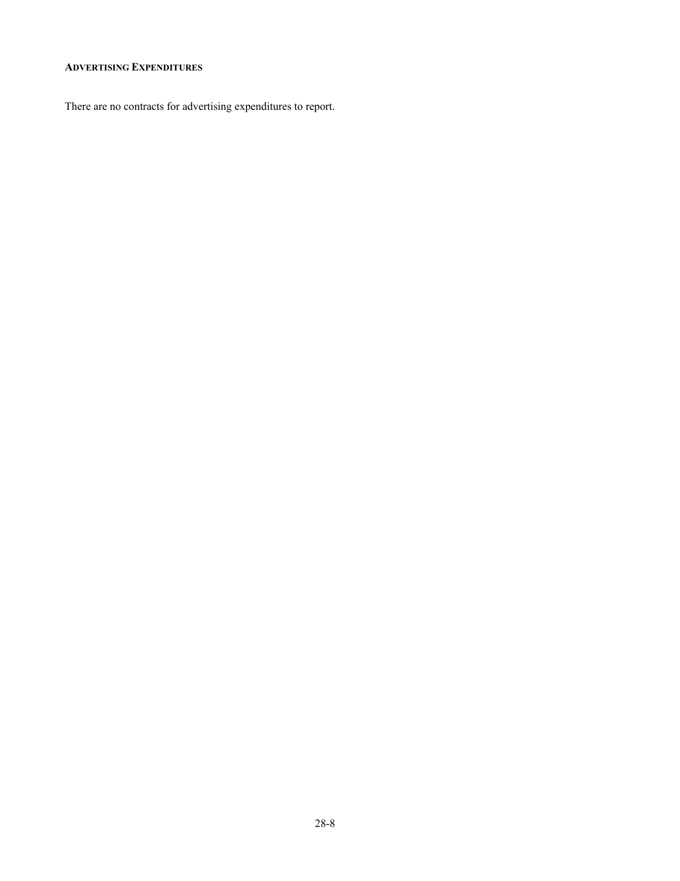### <span id="page-7-0"></span>**ADVERTISING EXPENDITURES**

There are no contracts for advertising expenditures to report.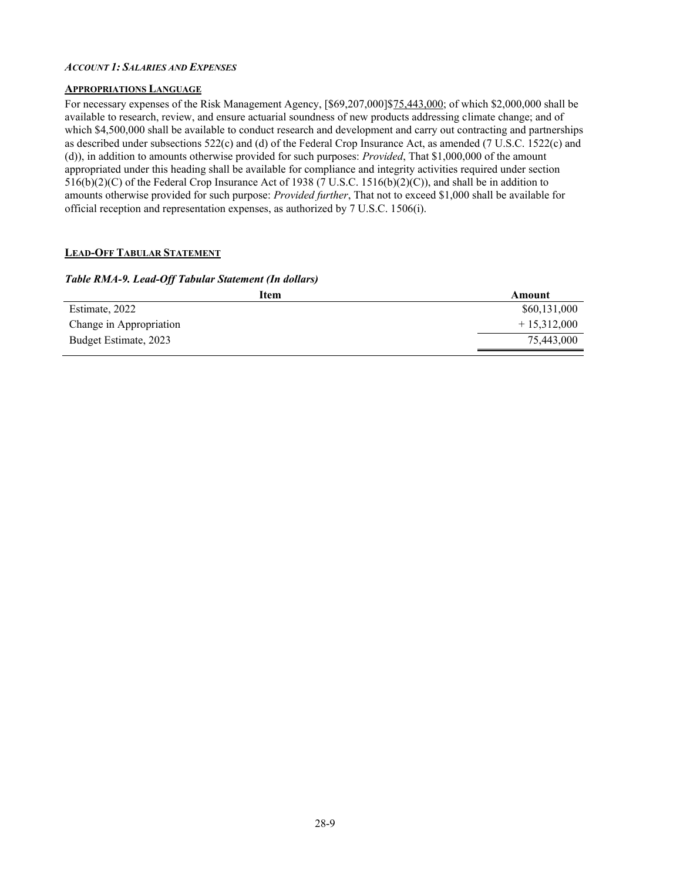#### <span id="page-8-0"></span>*ACCOUNT 1:SALARIES AND EXPENSES*

#### <span id="page-8-1"></span>**APPROPRIATIONS LANGUAGE**

For necessary expenses of the Risk Management Agency, [\$69,207,000]\$75,443,000; of which \$2,000,000 shall be available to research, review, and ensure actuarial soundness of new products addressing climate change; and of which \$4,500,000 shall be available to conduct research and development and carry out contracting and partnerships as described under subsections 522(c) and (d) of the Federal Crop Insurance Act, as amended (7 U.S.C. 1522(c) and (d)), in addition to amounts otherwise provided for such purposes: *Provided*, That \$1,000,000 of the amount appropriated under this heading shall be available for compliance and integrity activities required under section 516(b)(2)(C) of the Federal Crop Insurance Act of 1938 (7 U.S.C. 1516(b)(2)(C)), and shall be in addition to amounts otherwise provided for such purpose: *Provided further*, That not to exceed \$1,000 shall be available for official reception and representation expenses, as authorized by 7 U.S.C. 1506(i).

#### <span id="page-8-2"></span>**LEAD-OFF TABULAR STATEMENT**

#### *Table RMA-9. Lead-Off Tabular Statement (In dollars)*

| Item                    | Amount        |
|-------------------------|---------------|
| Estimate, 2022          | \$60,131,000  |
| Change in Appropriation | $+15.312.000$ |
| Budget Estimate, 2023   | 75,443,000    |
|                         |               |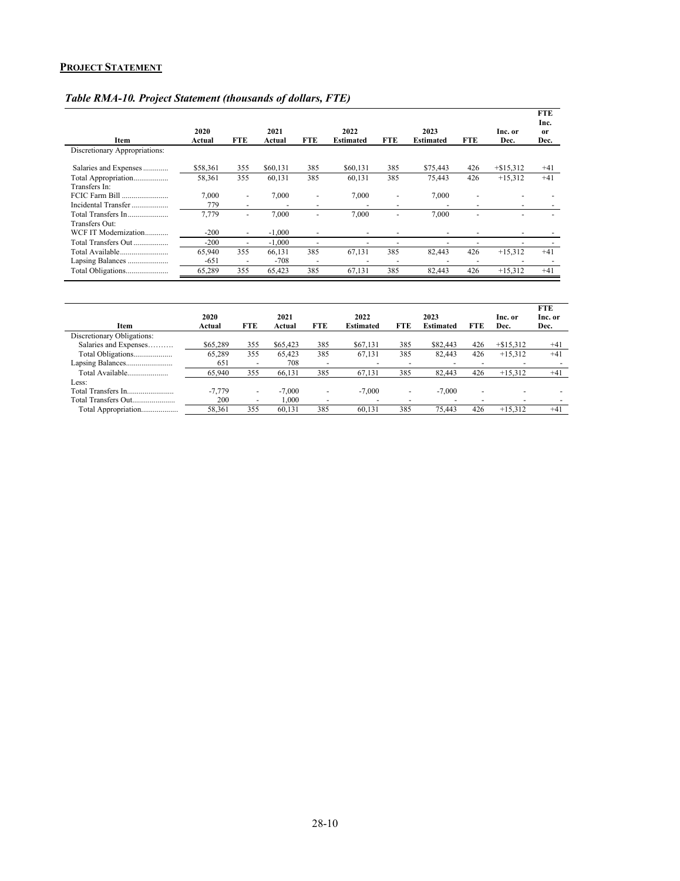#### <span id="page-9-0"></span>**PROJECT STATEMENT**

| Item                                  | 2020<br>Actual | <b>FTE</b>                                           | 2021<br>Actual | <b>FTE</b>                    | 2022<br><b>Estimated</b> | <b>FTE</b>                    | 2023<br><b>Estimated</b> | <b>FTE</b>                    | Inc. or<br>Dec. | <b>FTE</b><br>Inc.<br><sub>or</sub><br>Dec. |
|---------------------------------------|----------------|------------------------------------------------------|----------------|-------------------------------|--------------------------|-------------------------------|--------------------------|-------------------------------|-----------------|---------------------------------------------|
| Discretionary Appropriations:         |                |                                                      |                |                               |                          |                               |                          |                               |                 |                                             |
| Salaries and Expenses                 | \$58,361       | 355                                                  | \$60,131       | 385                           | \$60,131                 | 385                           | \$75,443                 | 426                           | $+\$15,312$     | $+41$                                       |
| Total Appropriation<br>Transfers In:  | 58,361         | 355                                                  | 60,131         | 385                           | 60,131                   | 385                           | 75,443                   | 426                           | $+15,312$       | $+41$                                       |
| FCIC Farm Bill<br>Incidental Transfer | 7.000<br>779   | $\overline{\phantom{0}}$<br>$\overline{\phantom{0}}$ | 7,000          | $\overline{\phantom{a}}$<br>- | 7,000                    | $\overline{\phantom{a}}$<br>- | 7,000                    | ۰<br>$\overline{\phantom{0}}$ |                 |                                             |
| Total Transfers In<br>Transfers Out:  | 7,779          |                                                      | 7,000          |                               | 7,000                    |                               | 7,000                    |                               |                 |                                             |
| WCF IT Modernization                  | $-200$         | ۰                                                    | $-1.000$       | $\overline{\phantom{0}}$      |                          | $\overline{\phantom{0}}$      |                          |                               |                 |                                             |
| Total Transfers Out                   | $-200$         | $\overline{\phantom{a}}$                             | $-1,000$       | $\overline{\phantom{a}}$      |                          | $\overline{\phantom{a}}$      | -                        |                               |                 |                                             |
| Total Available                       | 65,940         | 355                                                  | 66,131         | 385                           | 67,131                   | 385                           | 82,443                   | 426                           | $+15,312$       | $+41$                                       |
| Lapsing Balances                      | $-651$         | $\overline{\phantom{0}}$                             | $-708$         | $\overline{\phantom{a}}$      |                          | $\overline{\phantom{a}}$      |                          |                               |                 |                                             |
|                                       | 65,289         | 355                                                  | 65,423         | 385                           | 67,131                   | 385                           | 82,443                   | 426                           | $+15,312$       | $+41$                                       |

### *Table RMA-10. Project Statement (thousands of dollars, FTE)*

| Item                       | 2020<br>Actual | <b>FTE</b>               | 2021<br>Actual | <b>FTE</b>               | 2022<br><b>Estimated</b> | <b>FTE</b> | 2023<br><b>Estimated</b> | <b>FTE</b>               | Inc. or<br>Dec. | <b>FTE</b><br>Inc. or<br>Dec. |
|----------------------------|----------------|--------------------------|----------------|--------------------------|--------------------------|------------|--------------------------|--------------------------|-----------------|-------------------------------|
| Discretionary Obligations: |                |                          |                |                          |                          |            |                          |                          |                 |                               |
| Salaries and Expenses      | \$65,289       | 355                      | \$65,423       | 385                      | \$67,131                 | 385        | \$82,443                 | 426                      | $+\$15.312$     | $+41$                         |
| Total Obligations          | 65.289         | 355                      | 65.423         | 385                      | 67.131                   | 385        | 82.443                   | 426                      | $+15.312$       | $+41$                         |
| Lapsing Balances           | 651            | $\overline{\phantom{a}}$ | 708            | -                        | -                        |            |                          |                          |                 |                               |
| Total Available            | 65,940         | 355                      | 66.131         | 385                      | 67,131                   | 385        | 82.443                   | 426                      | $+15.312$       | $+41$                         |
| Less:                      |                |                          |                |                          |                          |            |                          |                          |                 |                               |
|                            | $-7.779$       | $\overline{\phantom{0}}$ | $-7.000$       | $\overline{\phantom{0}}$ | $-7,000$                 | -          | $-7,000$                 | $\overline{\phantom{0}}$ |                 |                               |
| Total Transfers Out        | 200            | $\overline{\phantom{0}}$ | .000.          | $\overline{\phantom{a}}$ | $\overline{\phantom{a}}$ | -          | -                        | -                        | ۰               |                               |
| Total Appropriation        | 58,361         | 355                      | 60.131         | 385                      | 60.131                   | 385        | 75.443                   | 426                      | $+15.312$       | $+41$                         |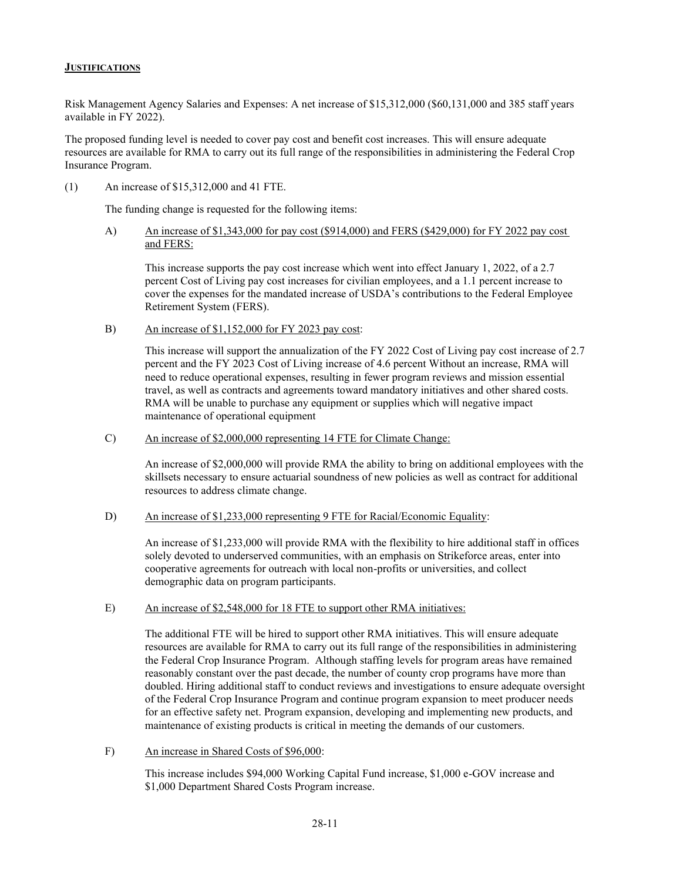#### <span id="page-10-0"></span>**JUSTIFICATIONS**

Risk Management Agency Salaries and Expenses: A net increase of \$15,312,000 (\$60,131,000 and 385 staff years available in FY 2022).

The proposed funding level is needed to cover pay cost and benefit cost increases. This will ensure adequate resources are available for RMA to carry out its full range of the responsibilities in administering the Federal Crop Insurance Program.

(1) An increase of \$15,312,000 and 41 FTE.

The funding change is requested for the following items:

A) An increase of \$1,343,000 for pay cost (\$914,000) and FERS (\$429,000) for FY 2022 pay cost and FERS:

This increase supports the pay cost increase which went into effect January 1, 2022, of a 2.7 percent Cost of Living pay cost increases for civilian employees, and a 1.1 percent increase to cover the expenses for the mandated increase of USDA's contributions to the Federal Employee Retirement System (FERS).

B) An increase of \$1,152,000 for FY 2023 pay cost:

This increase will support the annualization of the FY 2022 Cost of Living pay cost increase of 2.7 percent and the FY 2023 Cost of Living increase of 4.6 percent Without an increase, RMA will need to reduce operational expenses, resulting in fewer program reviews and mission essential travel, as well as contracts and agreements toward mandatory initiatives and other shared costs. RMA will be unable to purchase any equipment or supplies which will negative impact maintenance of operational equipment

C) An increase of \$2,000,000 representing 14 FTE for Climate Change:

An increase of \$2,000,000 will provide RMA the ability to bring on additional employees with the skillsets necessary to ensure actuarial soundness of new policies as well as contract for additional resources to address climate change.

D) An increase of \$1,233,000 representing 9 FTE for Racial/Economic Equality:

An increase of \$1,233,000 will provide RMA with the flexibility to hire additional staff in offices solely devoted to underserved communities, with an emphasis on Strikeforce areas, enter into cooperative agreements for outreach with local non-profits or universities, and collect demographic data on program participants.

E) An increase of \$2,548,000 for 18 FTE to support other RMA initiatives:

The additional FTE will be hired to support other RMA initiatives. This will ensure adequate resources are available for RMA to carry out its full range of the responsibilities in administering the Federal Crop Insurance Program. Although staffing levels for program areas have remained reasonably constant over the past decade, the number of county crop programs have more than doubled. Hiring additional staff to conduct reviews and investigations to ensure adequate oversight of the Federal Crop Insurance Program and continue program expansion to meet producer needs for an effective safety net. Program expansion, developing and implementing new products, and maintenance of existing products is critical in meeting the demands of our customers.

F) An increase in Shared Costs of \$96,000:

This increase includes \$94,000 Working Capital Fund increase, \$1,000 e-GOV increase and \$1,000 Department Shared Costs Program increase.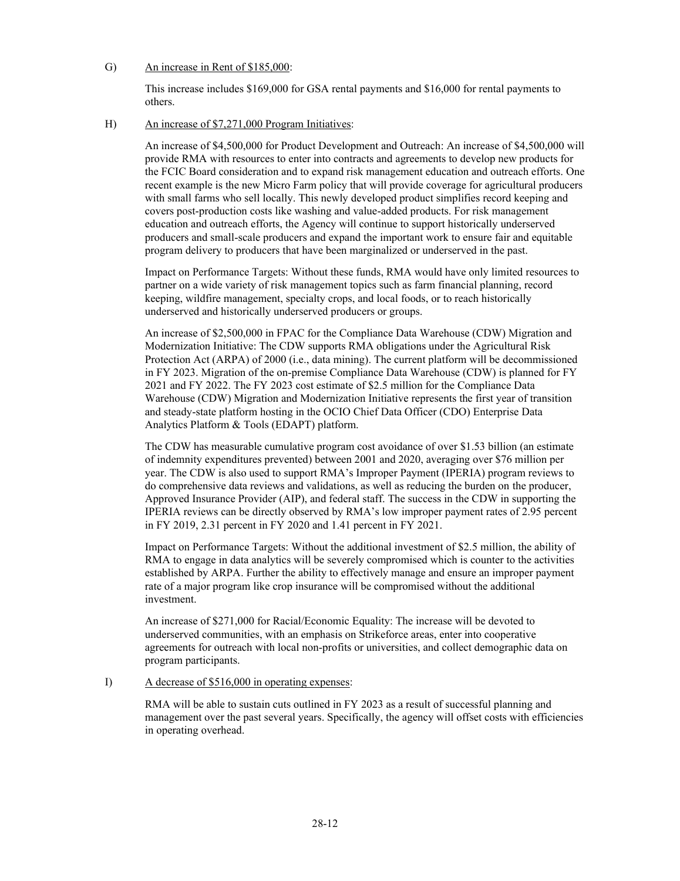#### G) An increase in Rent of \$185,000:

This increase includes \$169,000 for GSA rental payments and \$16,000 for rental payments to others.

#### H) An increase of \$7,271,000 Program Initiatives:

An increase of \$4,500,000 for Product Development and Outreach: An increase of \$4,500,000 will provide RMA with resources to enter into contracts and agreements to develop new products for the FCIC Board consideration and to expand risk management education and outreach efforts. One recent example is the new Micro Farm policy that will provide coverage for agricultural producers with small farms who sell locally. This newly developed product simplifies record keeping and covers post-production costs like washing and value-added products. For risk management education and outreach efforts, the Agency will continue to support historically underserved producers and small-scale producers and expand the important work to ensure fair and equitable program delivery to producers that have been marginalized or underserved in the past.

Impact on Performance Targets: Without these funds, RMA would have only limited resources to partner on a wide variety of risk management topics such as farm financial planning, record keeping, wildfire management, specialty crops, and local foods, or to reach historically underserved and historically underserved producers or groups.

An increase of \$2,500,000 in FPAC for the Compliance Data Warehouse (CDW) Migration and Modernization Initiative: The CDW supports RMA obligations under the Agricultural Risk Protection Act (ARPA) of 2000 (i.e., data mining). The current platform will be decommissioned in FY 2023. Migration of the on-premise Compliance Data Warehouse (CDW) is planned for FY 2021 and FY 2022. The FY 2023 cost estimate of \$2.5 million for the Compliance Data Warehouse (CDW) Migration and Modernization Initiative represents the first year of transition and steady-state platform hosting in the OCIO Chief Data Officer (CDO) Enterprise Data Analytics Platform & Tools (EDAPT) platform.

The CDW has measurable cumulative program cost avoidance of over \$1.53 billion (an estimate of indemnity expenditures prevented) between 2001 and 2020, averaging over \$76 million per year. The CDW is also used to support RMA's Improper Payment (IPERIA) program reviews to do comprehensive data reviews and validations, as well as reducing the burden on the producer, Approved Insurance Provider (AIP), and federal staff. The success in the CDW in supporting the IPERIA reviews can be directly observed by RMA's low improper payment rates of 2.95 percent in FY 2019, 2.31 percent in FY 2020 and 1.41 percent in FY 2021.

Impact on Performance Targets: Without the additional investment of \$2.5 million, the ability of RMA to engage in data analytics will be severely compromised which is counter to the activities established by ARPA. Further the ability to effectively manage and ensure an improper payment rate of a major program like crop insurance will be compromised without the additional investment.

An increase of \$271,000 for Racial/Economic Equality: The increase will be devoted to underserved communities, with an emphasis on Strikeforce areas, enter into cooperative agreements for outreach with local non-profits or universities, and collect demographic data on program participants.

#### I) A decrease of \$516,000 in operating expenses:

RMA will be able to sustain cuts outlined in FY 2023 as a result of successful planning and management over the past several years. Specifically, the agency will offset costs with efficiencies in operating overhead.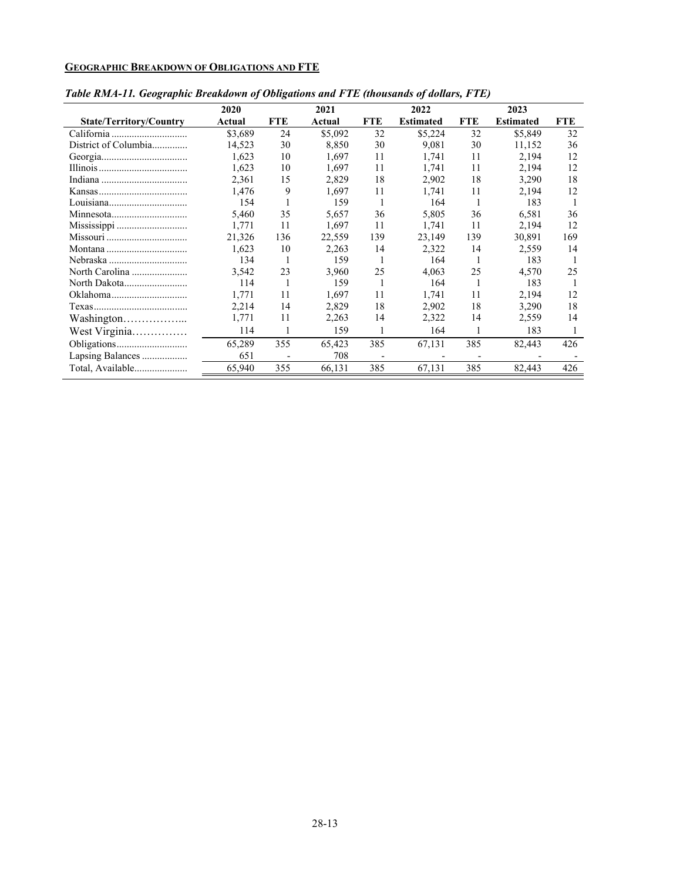# <span id="page-12-0"></span>**GEOGRAPHIC BREAKDOWN OF OBLIGATIONS AND FTE**

|                                | 2020    |            | 2021    |              | 2022             |            | 2023             |            |
|--------------------------------|---------|------------|---------|--------------|------------------|------------|------------------|------------|
| <b>State/Territory/Country</b> | Actual  | <b>FTE</b> | Actual  | <b>FTE</b>   | <b>Estimated</b> | <b>FTE</b> | <b>Estimated</b> | <b>FTE</b> |
| California                     | \$3.689 | 24         | \$5,092 | 32           | \$5,224          | 32         | \$5,849          | 32         |
| District of Columbia           | 14,523  | 30         | 8,850   | 30           | 9,081            | 30         | 11,152           | 36         |
|                                | 1,623   | 10         | 1,697   | 11           | 1,741            | 11         | 2,194            | 12         |
|                                | 1,623   | 10         | 1,697   | 11           | 1,741            | 11         | 2,194            | 12         |
|                                | 2.361   | 15         | 2.829   | 18           | 2,902            | 18         | 3,290            | 18         |
|                                | 1.476   | 9          | 1.697   | 11           | 1.741            | 11         | 2,194            | 12         |
|                                | 154     |            | 159     |              | 164              |            | 183              |            |
|                                | 5.460   | 35         | 5,657   | 36           | 5,805            | 36         | 6,581            | 36         |
|                                | 1.771   | 11         | 1.697   | 11           | 1.741            | 11         | 2,194            | 12         |
| Missouri                       | 21,326  | 136        | 22,559  | 139          | 23,149           | 139        | 30,891           | 169        |
|                                | 1,623   | 10         | 2,263   | 14           | 2,322            | 14         | 2,559            | 14         |
| Nebraska                       | 134     |            | 159     |              | 164              |            | 183              |            |
| North Carolina                 | 3,542   | 23         | 3,960   | 25           | 4,063            | 25         | 4,570            | 25         |
|                                | 114     |            | 159     |              | 164              |            | 183              |            |
|                                | 1.771   | 11         | 1.697   | 11           | 1.741            | 11         | 2.194            | 12         |
|                                | 2.214   | 14         | 2.829   | 18           | 2,902            | 18         | 3,290            | 18         |
| Washington                     | 1.771   | 11         | 2,263   | 14           | 2,322            | 14         | 2,559            | 14         |
| West Virginia                  | 114     |            | 159     | $\mathbf{1}$ | 164              |            | 183              |            |
|                                | 65,289  | 355        | 65,423  | 385          | 67,131           | 385        | 82,443           | 426        |
| Lapsing Balances               | 651     |            | 708     |              |                  |            |                  |            |
| Total, Available               | 65,940  | 355        | 66,131  | 385          | 67,131           | 385        | 82,443           | 426        |

# *Table RMA-11. Geographic Breakdown of Obligations and FTE (thousands of dollars, FTE)*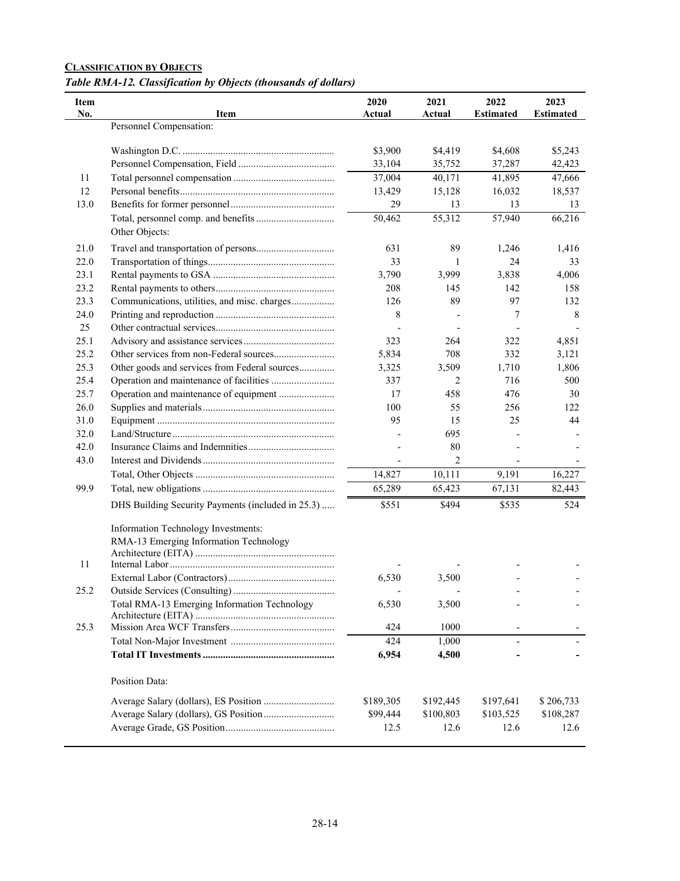# <span id="page-13-0"></span>**CLASSIFICATION BY OBJECTS**

*Table RMA-12. Classification by Objects (thousands of dollars)*

| Item<br>No. | <b>Item</b>                                       | 2020<br>Actual | 2021<br>Actual | 2022<br><b>Estimated</b> | 2023<br><b>Estimated</b> |
|-------------|---------------------------------------------------|----------------|----------------|--------------------------|--------------------------|
|             | Personnel Compensation:                           |                |                |                          |                          |
|             |                                                   | \$3,900        | \$4,419        | \$4,608                  | \$5,243                  |
|             |                                                   | 33,104         | 35,752         | 37,287                   | 42,423                   |
| 11          |                                                   | 37,004         | 40,171         | 41,895                   | 47,666                   |
| 12          |                                                   | 13,429         | 15,128         | 16,032                   | 18,537                   |
| 13.0        |                                                   | 29             | 13             | 13                       | 13                       |
|             |                                                   | 50,462         | 55,312         | 57,940                   | 66,216                   |
|             | Other Objects:                                    |                |                |                          |                          |
| 21.0        |                                                   | 631            | 89             | 1,246                    | 1,416                    |
| 22.0        |                                                   | 33             | 1              | 24                       | 33                       |
| 23.1        |                                                   | 3,790          | 3,999          | 3,838                    | 4,006                    |
| 23.2        |                                                   | 208            | 145            | 142                      | 158                      |
| 23.3        | Communications, utilities, and misc. charges      | 126            | 89             | 97                       | 132                      |
| 24.0        |                                                   | 8              |                | 7                        | 8                        |
| 25          |                                                   |                |                |                          |                          |
| 25.1        |                                                   | 323            | 264            | 322                      | 4,851                    |
| 25.2        |                                                   | 5,834          | 708            | 332                      | 3,121                    |
| 25.3        | Other goods and services from Federal sources     | 3,325          | 3,509          | 1,710                    | 1,806                    |
| 25.4        | Operation and maintenance of facilities           | 337            | 2              | 716                      | 500                      |
| 25.7        | Operation and maintenance of equipment            | 17             | 458            | 476                      | 30                       |
| 26.0        |                                                   | 100            | 55             | 256                      | 122                      |
| 31.0        |                                                   | 95             | 15             | 25                       | 44                       |
| 32.0        |                                                   |                | 695            |                          |                          |
| 42.0        |                                                   |                | 80             |                          |                          |
| 43.0        |                                                   |                | $\overline{2}$ |                          |                          |
|             |                                                   | 14,827         | 10,111         | 9,191                    | 16,227                   |
| 99.9        |                                                   | 65,289         | 65,423         | 67,131                   | 82,443                   |
|             | DHS Building Security Payments (included in 25.3) | \$551          | \$494          | \$535                    | 524                      |
|             | Information Technology Investments:               |                |                |                          |                          |
|             | RMA-13 Emerging Information Technology            |                |                |                          |                          |
|             |                                                   |                |                |                          |                          |
| 11          |                                                   |                |                |                          |                          |
|             |                                                   | 6,530          | 3,500          |                          |                          |
| 25.2        |                                                   |                |                |                          |                          |
|             | Total RMA-13 Emerging Information Technology      | 6,530          | 3,500          |                          |                          |
|             |                                                   |                |                |                          |                          |
| 25.3        |                                                   | 424            | 1000           |                          |                          |
|             |                                                   | 424            | 1,000          |                          |                          |
|             |                                                   | 6,954          | 4,500          |                          |                          |
|             | <b>Position Data:</b>                             |                |                |                          |                          |
|             |                                                   | \$189,305      | \$192,445      | \$197,641                | \$206,733                |
|             |                                                   | \$99,444       | \$100,803      | \$103,525                | \$108,287                |
|             |                                                   | 12.5           | 12.6           | 12.6                     | 12.6                     |
|             |                                                   |                |                |                          |                          |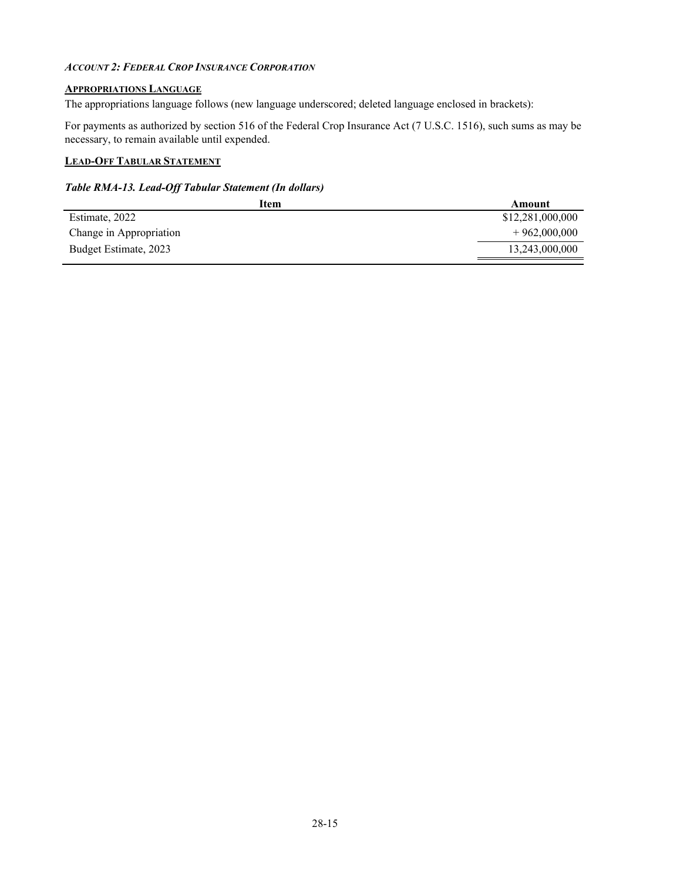#### <span id="page-14-0"></span>*ACCOUNT 2: FEDERAL CROP INSURANCE CORPORATION*

#### <span id="page-14-1"></span>**APPROPRIATIONS LANGUAGE**

The appropriations language follows (new language underscored; deleted language enclosed in brackets):

For payments as authorized by section 516 of the Federal Crop Insurance Act (7 U.S.C. 1516), such sums as may be necessary, to remain available until expended.

#### <span id="page-14-2"></span>**LEAD-OFF TABULAR STATEMENT**

#### *Table RMA-13. Lead-Off Tabular Statement (In dollars)*

| Item                    | Amount           |
|-------------------------|------------------|
| Estimate, 2022          | \$12,281,000,000 |
| Change in Appropriation | $+962,000,000$   |
| Budget Estimate, 2023   | 13,243,000,000   |
|                         |                  |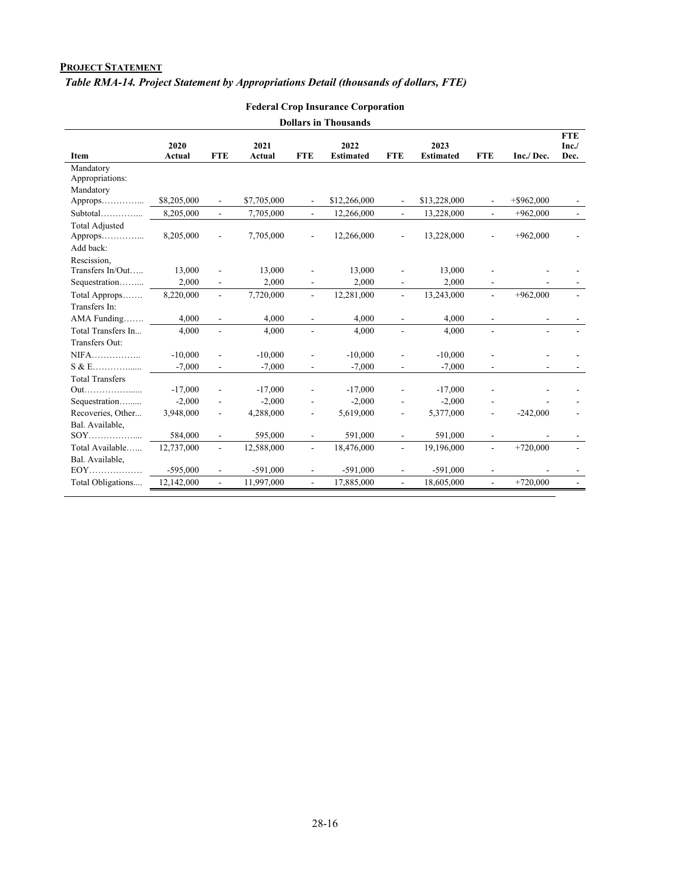#### <span id="page-15-0"></span>**PROJECT STATEMENT**

# *Table RMA-14. Project Statement by Appropriations Detail (thousands of dollars, FTE)*

| <b>Dollars in Thousands</b> |                |                          |                |                             |                          |                          |                          |                          |                          |                            |  |
|-----------------------------|----------------|--------------------------|----------------|-----------------------------|--------------------------|--------------------------|--------------------------|--------------------------|--------------------------|----------------------------|--|
| Item                        | 2020<br>Actual | <b>FTE</b>               | 2021<br>Actual | <b>FTE</b>                  | 2022<br><b>Estimated</b> | <b>FTE</b>               | 2023<br><b>Estimated</b> | <b>FTE</b>               | Inc./ Dec.               | <b>FTE</b><br>Inc.<br>Dec. |  |
| Mandatory                   |                |                          |                |                             |                          |                          |                          |                          |                          |                            |  |
| Appropriations:             |                |                          |                |                             |                          |                          |                          |                          |                          |                            |  |
| Mandatory                   |                |                          |                |                             |                          |                          |                          |                          |                          |                            |  |
| Approps                     | \$8,205,000    |                          | \$7,705,000    |                             | \$12,266,000             |                          | \$13,228,000             |                          | $+$ \$962,000            |                            |  |
| Subtotal                    | 8,205,000      | $\blacksquare$           | 7,705,000      | $\mathcal{L}^{\mathcal{A}}$ | 12,266,000               | $\blacksquare$           | 13,228,000               | $\sim$                   | $+962,000$               | $\sim$                     |  |
| <b>Total Adjusted</b>       |                |                          |                |                             |                          |                          |                          |                          |                          |                            |  |
| Approps                     | 8,205,000      |                          | 7,705,000      |                             | 12,266,000               |                          | 13,228,000               |                          | $+962,000$               |                            |  |
| Add back:                   |                |                          |                |                             |                          |                          |                          |                          |                          |                            |  |
| Rescission,                 |                |                          |                |                             |                          |                          |                          |                          |                          |                            |  |
| Transfers In/Out            | 13,000         |                          | 13,000         |                             | 13,000                   |                          | 13,000                   |                          |                          |                            |  |
| Sequestration               | 2,000          |                          | 2,000          |                             | 2,000                    |                          | 2,000                    |                          |                          |                            |  |
| Total Approps               | 8,220,000      | $\blacksquare$           | 7,720,000      | $\overline{\phantom{a}}$    | 12,281,000               | $\overline{\phantom{a}}$ | 13,243,000               | ÷,                       | $+962,000$               |                            |  |
| Transfers In:               |                |                          |                |                             |                          |                          |                          |                          |                          |                            |  |
| AMA Funding                 | 4,000          | $\overline{\phantom{a}}$ | 4,000          | $\overline{\phantom{a}}$    | 4,000                    | $\overline{\phantom{a}}$ | 4,000                    | $\overline{\phantom{a}}$ | $\overline{\phantom{a}}$ |                            |  |
| Total Transfers In          | 4.000          | $\overline{a}$           | 4.000          |                             | 4.000                    | ÷.                       | 4.000                    |                          |                          |                            |  |
| Transfers Out:              |                |                          |                |                             |                          |                          |                          |                          |                          |                            |  |
|                             | $-10,000$      |                          | $-10,000$      |                             | $-10,000$                |                          | $-10,000$                |                          |                          |                            |  |
|                             | $-7,000$       |                          | $-7,000$       |                             | $-7,000$                 |                          | $-7,000$                 |                          |                          |                            |  |
| <b>Total Transfers</b>      |                |                          |                |                             |                          |                          |                          |                          |                          |                            |  |
| Out                         | $-17,000$      | $\overline{\phantom{a}}$ | $-17,000$      |                             | $-17,000$                |                          | $-17,000$                |                          |                          |                            |  |
| Sequestration               | $-2,000$       |                          | $-2,000$       |                             | $-2,000$                 |                          | $-2,000$                 |                          |                          |                            |  |
| Recoveries, Other           | 3,948,000      | $\overline{\phantom{a}}$ | 4,288,000      |                             | 5,619,000                |                          | 5,377,000                |                          | $-242,000$               |                            |  |
| Bal. Available,             |                |                          |                |                             |                          |                          |                          |                          |                          |                            |  |
|                             | 584,000        | $\overline{\phantom{a}}$ | 595,000        | ÷                           | 591,000                  | $\blacksquare$           | 591,000                  | $\blacksquare$           |                          |                            |  |
| Total Available             | 12,737,000     | $\blacksquare$           | 12,588,000     | $\overline{\phantom{a}}$    | 18,476,000               | $\overline{\phantom{a}}$ | 19,196,000               | ÷,                       | $+720,000$               |                            |  |
| Bal. Available,             |                |                          |                |                             |                          |                          |                          |                          |                          |                            |  |
| $EOY$                       | $-595,000$     |                          | $-591,000$     |                             | $-591,000$               |                          | $-591,000$               | $\overline{\phantom{a}}$ |                          |                            |  |
| Total Obligations           | 12,142,000     | $\mathbf{r}$             | 11,997,000     | ÷.                          | 17,885,000               | $\blacksquare$           | 18,605,000               | $\mathbf{r}$             | $+720,000$               |                            |  |

#### **Federal Crop Insurance Corporation**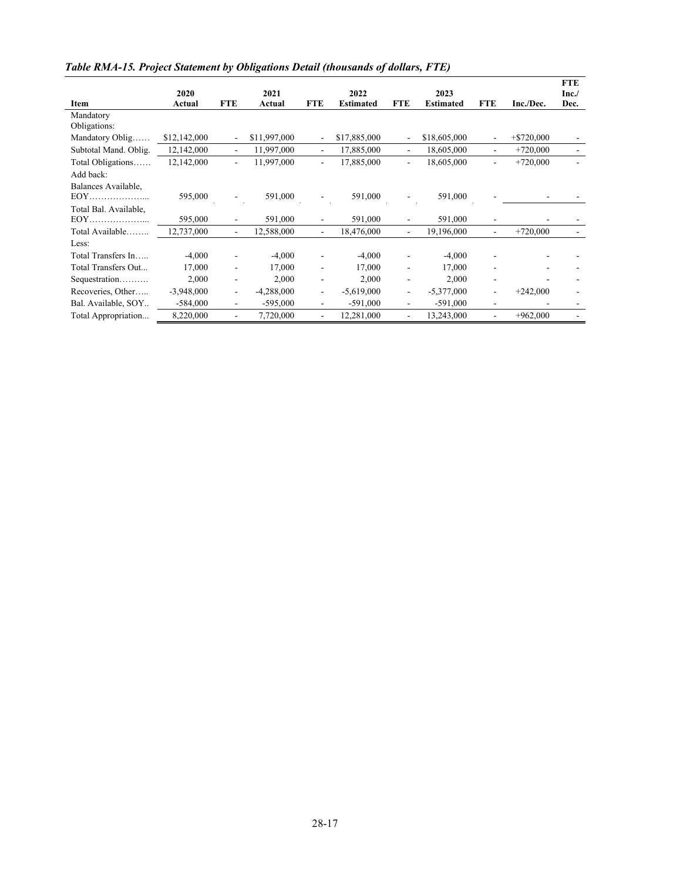|                       |              |                          |              |                          |                  |                          |                  |                          |                          | <b>FTE</b> |
|-----------------------|--------------|--------------------------|--------------|--------------------------|------------------|--------------------------|------------------|--------------------------|--------------------------|------------|
|                       | 2020         |                          | 2021         |                          | 2022             |                          | 2023             |                          |                          | Inc.       |
| Item                  | Actual       | <b>FTE</b>               | Actual       | <b>FTE</b>               | <b>Estimated</b> | <b>FTE</b>               | <b>Estimated</b> | <b>FTE</b>               | Inc./Dec.                | Dec.       |
| Mandatory             |              |                          |              |                          |                  |                          |                  |                          |                          |            |
| Obligations:          |              |                          |              |                          |                  |                          |                  |                          |                          |            |
| Mandatory Oblig       | \$12,142,000 | ٠                        | \$11,997,000 |                          | \$17,885,000     | $\overline{\phantom{a}}$ | \$18,605,000     | $\overline{\phantom{0}}$ | $+$ \$720,000            |            |
| Subtotal Mand. Oblig. | 12,142,000   | $\overline{\phantom{a}}$ | 11,997,000   | $\overline{\phantom{a}}$ | 17,885,000       | $\overline{\phantom{a}}$ | 18,605,000       | $\overline{\phantom{a}}$ | $+720,000$               |            |
| Total Obligations     | 12,142,000   | $\overline{\phantom{a}}$ | 11,997,000   | ä,                       | 17,885,000       | $\overline{\phantom{a}}$ | 18,605,000       | $\overline{\phantom{0}}$ | $+720,000$               |            |
| Add back:             |              |                          |              |                          |                  |                          |                  |                          |                          |            |
| Balances Available,   |              |                          |              |                          |                  |                          |                  |                          |                          |            |
|                       | 595,000      |                          | 591,000      |                          | 591,000          | $\overline{\phantom{a}}$ | 591,000          |                          |                          |            |
| Total Bal. Available, |              |                          |              |                          |                  |                          |                  |                          |                          |            |
|                       | 595,000      |                          | 591,000      |                          | 591,000          |                          | 591,000          |                          |                          |            |
| Total Available       | 12,737,000   | $\overline{\phantom{0}}$ | 12,588,000   | $\overline{\phantom{a}}$ | 18,476,000       | $\overline{\phantom{a}}$ | 19,196,000       | $\overline{\phantom{0}}$ | $+720,000$               |            |
| Less:                 |              |                          |              |                          |                  |                          |                  |                          |                          |            |
| Total Transfers In    | $-4,000$     |                          | $-4,000$     |                          | $-4,000$         |                          | $-4,000$         |                          |                          |            |
| Total Transfers Out   | 17,000       | -                        | 17,000       | $\overline{\phantom{a}}$ | 17,000           | $\overline{\phantom{a}}$ | 17,000           | $\overline{\phantom{a}}$ | $\overline{\phantom{a}}$ |            |
| Sequestration         | 2,000        | ۰                        | 2,000        | ۰                        | 2,000            | $\overline{\phantom{a}}$ | 2,000            | ۰                        |                          |            |
| Recoveries, Other     | $-3,948,000$ | -                        | $-4,288,000$ | $\overline{\phantom{a}}$ | $-5,619,000$     | $\blacksquare$           | $-5,377,000$     | ۰                        | $+242,000$               |            |
| Bal. Available, SOY   | $-584,000$   | -                        | $-595,000$   | ٠                        | $-591,000$       | $\overline{\phantom{a}}$ | $-591,000$       | ۰                        |                          |            |
| Total Appropriation   | 8,220,000    | -                        | 7,720,000    |                          | 12,281,000       | $\overline{\phantom{a}}$ | 13,243,000       | ۰                        | $+962,000$               |            |

*Table RMA-15. Project Statement by Obligations Detail (thousands of dollars, FTE)*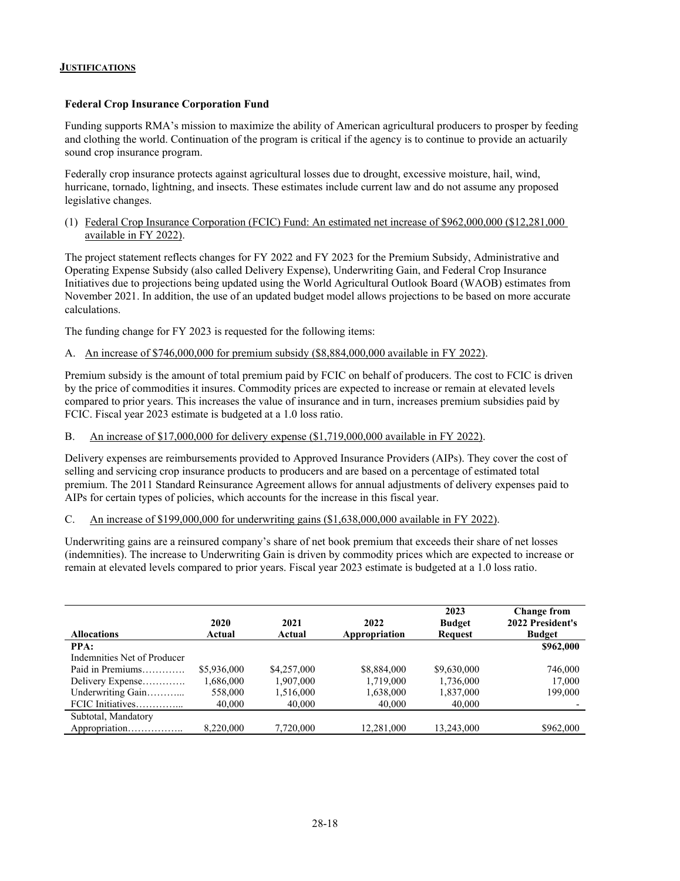#### <span id="page-17-0"></span>**JUSTIFICATIONS**

#### **Federal Crop Insurance Corporation Fund**

Funding supports RMA's mission to maximize the ability of American agricultural producers to prosper by feeding and clothing the world. Continuation of the program is critical if the agency is to continue to provide an actuarily sound crop insurance program.

Federally crop insurance protects against agricultural losses due to drought, excessive moisture, hail, wind, hurricane, tornado, lightning, and insects. These estimates include current law and do not assume any proposed legislative changes.

(1) Federal Crop Insurance Corporation (FCIC) Fund: An estimated net increase of \$962,000,000 (\$12,281,000 available in FY 2022).

The project statement reflects changes for FY 2022 and FY 2023 for the Premium Subsidy, Administrative and Operating Expense Subsidy (also called Delivery Expense), Underwriting Gain, and Federal Crop Insurance Initiatives due to projections being updated using the World Agricultural Outlook Board (WAOB) estimates from November 2021. In addition, the use of an updated budget model allows projections to be based on more accurate calculations.

The funding change for FY 2023 is requested for the following items:

A. An increase of \$746,000,000 for premium subsidy (\$8,884,000,000 available in FY 2022).

Premium subsidy is the amount of total premium paid by FCIC on behalf of producers. The cost to FCIC is driven by the price of commodities it insures. Commodity prices are expected to increase or remain at elevated levels compared to prior years. This increases the value of insurance and in turn, increases premium subsidies paid by FCIC. Fiscal year 2023 estimate is budgeted at a 1.0 loss ratio.

B. An increase of \$17,000,000 for delivery expense (\$1,719,000,000 available in FY 2022).

Delivery expenses are reimbursements provided to Approved Insurance Providers (AIPs). They cover the cost of selling and servicing crop insurance products to producers and are based on a percentage of estimated total premium. The 2011 Standard Reinsurance Agreement allows for annual adjustments of delivery expenses paid to AIPs for certain types of policies, which accounts for the increase in this fiscal year.

C. An increase of \$199,000,000 for underwriting gains (\$1,638,000,000 available in FY 2022).

Underwriting gains are a reinsured company's share of net book premium that exceeds their share of net losses (indemnities). The increase to Underwriting Gain is driven by commodity prices which are expected to increase or remain at elevated levels compared to prior years. Fiscal year 2023 estimate is budgeted at a 1.0 loss ratio.

| <b>Allocations</b>          | 2020<br>Actual | 2021<br>Actual | 2022<br>Appropriation | 2023<br><b>Budget</b><br><b>Request</b> | <b>Change from</b><br>2022 President's<br><b>Budget</b> |
|-----------------------------|----------------|----------------|-----------------------|-----------------------------------------|---------------------------------------------------------|
| PPA:                        |                |                |                       |                                         | \$962,000                                               |
| Indemnities Net of Producer |                |                |                       |                                         |                                                         |
| Paid in Premiums            | \$5,936,000    | \$4,257,000    | \$8,884,000           | \$9,630,000                             | 746,000                                                 |
| Delivery Expense            | 1,686,000      | 1,907,000      | 1.719.000             | 1,736,000                               | 17,000                                                  |
| Underwriting Gain           | 558,000        | 1,516,000      | 1,638,000             | 1,837,000                               | 199,000                                                 |
| FCIC Initiatives            | 40,000         | 40,000         | 40,000                | 40,000                                  |                                                         |
| Subtotal, Mandatory         |                |                |                       |                                         |                                                         |
| Appropriation               | 8,220,000      | 7,720,000      | 12,281,000            | 13,243,000                              | \$962,000                                               |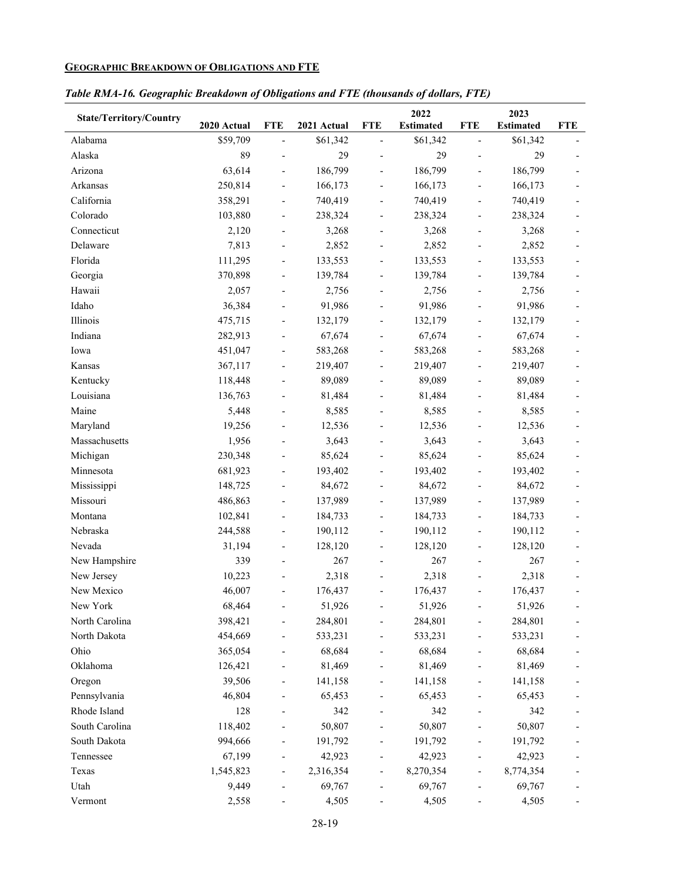# <span id="page-18-0"></span>**GEOGRAPHIC BREAKDOWN OF OBLIGATIONS AND FTE**

|  |  | Table RMA-16. Geographic Breakdown of Obligations and FTE (thousands of dollars, FTE) |
|--|--|---------------------------------------------------------------------------------------|
|  |  |                                                                                       |

| <b>State/Territory/Country</b> | 2020 Actual | <b>FTE</b>                   | 2021 Actual | <b>FTE</b>               | 2022<br><b>Estimated</b> | <b>FTE</b>                   | 2023<br><b>Estimated</b> | <b>FTE</b> |
|--------------------------------|-------------|------------------------------|-------------|--------------------------|--------------------------|------------------------------|--------------------------|------------|
| Alabama                        | \$59,709    | $\overline{\phantom{a}}$     | \$61,342    | $\overline{\phantom{m}}$ | \$61,342                 | $\qquad \qquad \blacksquare$ | \$61,342                 |            |
| Alaska                         | 89          | $\overline{a}$               | 29          | $\overline{\phantom{0}}$ | 29                       |                              | 29                       |            |
| Arizona                        | 63,614      | $\overline{\phantom{a}}$     | 186,799     | $\overline{\phantom{0}}$ | 186,799                  | $\qquad \qquad \blacksquare$ | 186,799                  |            |
| Arkansas                       | 250,814     | $\blacksquare$               | 166,173     | $\overline{\phantom{0}}$ | 166,173                  |                              | 166,173                  |            |
| California                     | 358,291     | $\overline{\phantom{a}}$     | 740,419     | $\overline{\phantom{0}}$ | 740,419                  | $\qquad \qquad \blacksquare$ | 740,419                  |            |
| Colorado                       | 103,880     | $\overline{\phantom{a}}$     | 238,324     | $\overline{\phantom{0}}$ | 238,324                  | $\qquad \qquad \blacksquare$ | 238,324                  |            |
| Connecticut                    | 2,120       |                              | 3,268       |                          | 3,268                    |                              | 3,268                    |            |
| Delaware                       | 7,813       |                              | 2,852       |                          | 2,852                    |                              | 2,852                    |            |
| Florida                        | 111,295     | $\overline{\phantom{a}}$     | 133,553     | $\overline{\phantom{0}}$ | 133,553                  | $\overline{\phantom{a}}$     | 133,553                  |            |
| Georgia                        | 370,898     | $\blacksquare$               | 139,784     | $\overline{\phantom{0}}$ | 139,784                  | $\qquad \qquad \blacksquare$ | 139,784                  |            |
| Hawaii                         | 2,057       | $\overline{\phantom{a}}$     | 2,756       | $\overline{\phantom{0}}$ | 2,756                    |                              | 2,756                    |            |
| Idaho                          | 36,384      | $\overline{\phantom{0}}$     | 91,986      | $\overline{\phantom{0}}$ | 91,986                   |                              | 91,986                   |            |
| Illinois                       | 475,715     | $\overline{\phantom{a}}$     | 132,179     | $\overline{\phantom{0}}$ | 132,179                  |                              | 132,179                  |            |
| Indiana                        | 282,913     |                              | 67,674      | $\overline{\phantom{0}}$ | 67,674                   |                              | 67,674                   |            |
| Iowa                           | 451,047     | $\overline{\phantom{0}}$     | 583,268     | $\overline{a}$           | 583,268                  |                              | 583,268                  |            |
| Kansas                         | 367,117     | $\qquad \qquad \blacksquare$ | 219,407     | $\overline{\phantom{0}}$ | 219,407                  |                              | 219,407                  |            |
| Kentucky                       | 118,448     |                              | 89,089      | $\overline{\phantom{0}}$ | 89,089                   |                              | 89,089                   |            |
| Louisiana                      | 136,763     | $\overline{\phantom{a}}$     | 81,484      | $\overline{\phantom{0}}$ | 81,484                   | $\qquad \qquad \blacksquare$ | 81,484                   |            |
| Maine                          | 5,448       | $\overline{\phantom{a}}$     | 8,585       | $\overline{\phantom{0}}$ | 8,585                    |                              | 8,585                    |            |
| Maryland                       | 19,256      |                              | 12,536      |                          | 12,536                   |                              | 12,536                   |            |
| Massachusetts                  | 1,956       | $\overline{a}$               | 3,643       | $\overline{\phantom{0}}$ | 3,643                    |                              | 3,643                    |            |
| Michigan                       | 230,348     |                              | 85,624      |                          | 85,624                   |                              | 85,624                   |            |
| Minnesota                      | 681,923     | $\overline{\phantom{0}}$     | 193,402     | $\overline{a}$           | 193,402                  |                              | 193,402                  |            |
| Mississippi                    | 148,725     |                              | 84,672      | $\overline{\phantom{0}}$ | 84,672                   |                              | 84,672                   |            |
| Missouri                       | 486,863     | $\qquad \qquad \blacksquare$ | 137,989     | $\overline{\phantom{0}}$ | 137,989                  | $\qquad \qquad \blacksquare$ | 137,989                  |            |
| Montana                        | 102,841     | $\overline{\phantom{a}}$     | 184,733     | $\overline{\phantom{0}}$ | 184,733                  | $\qquad \qquad \blacksquare$ | 184,733                  |            |
| Nebraska                       | 244,588     | $\overline{\phantom{a}}$     | 190,112     | $\overline{\phantom{0}}$ | 190,112                  | $\qquad \qquad \blacksquare$ | 190,112                  |            |
| Nevada                         | 31,194      | $\overline{\phantom{a}}$     | 128,120     | $\overline{\phantom{0}}$ | 128,120                  |                              | 128,120                  |            |
| New Hampshire                  | 339         | $\overline{\phantom{0}}$     | 267         | $\overline{a}$           | 267                      |                              | 267                      |            |
| New Jersey                     | 10,223      |                              | 2,318       |                          | 2,318                    |                              | 2,318                    |            |
| New Mexico                     | 46,007      |                              | 176,437     |                          | 176,437                  |                              | 176,437                  |            |
| New York                       | 68,464      |                              | 51,926      |                          | 51,926                   |                              | 51,926                   |            |
| North Carolina                 | 398,421     |                              | 284,801     |                          | 284,801                  |                              | 284,801                  |            |
| North Dakota                   | 454,669     | $\overline{\phantom{0}}$     | 533,231     | $\overline{\phantom{0}}$ | 533,231                  | $\qquad \qquad \blacksquare$ | 533,231                  |            |
| Ohio                           | 365,054     |                              | 68,684      |                          | 68,684                   |                              | 68,684                   |            |
| Oklahoma                       | 126,421     |                              | 81,469      |                          | 81,469                   |                              | 81,469                   |            |
| Oregon                         | 39,506      |                              | 141,158     |                          | 141,158                  |                              | 141,158                  |            |
| Pennsylvania                   | 46,804      |                              | 65,453      |                          | 65,453                   |                              | 65,453                   |            |
| Rhode Island                   | 128         |                              | 342         |                          | 342                      |                              | 342                      |            |
| South Carolina                 | 118,402     |                              | 50,807      |                          | 50,807                   |                              | 50,807                   |            |
| South Dakota                   | 994,666     |                              | 191,792     |                          | 191,792                  |                              | 191,792                  |            |
| Tennessee                      | 67,199      |                              | 42,923      |                          | 42,923                   |                              | 42,923                   |            |
| Texas                          | 1,545,823   |                              | 2,316,354   |                          | 8,270,354                |                              | 8,774,354                |            |
| Utah                           | 9,449       |                              | 69,767      |                          | 69,767                   |                              | 69,767                   |            |
| Vermont                        | 2,558       |                              | 4,505       |                          | 4,505                    |                              | 4,505                    |            |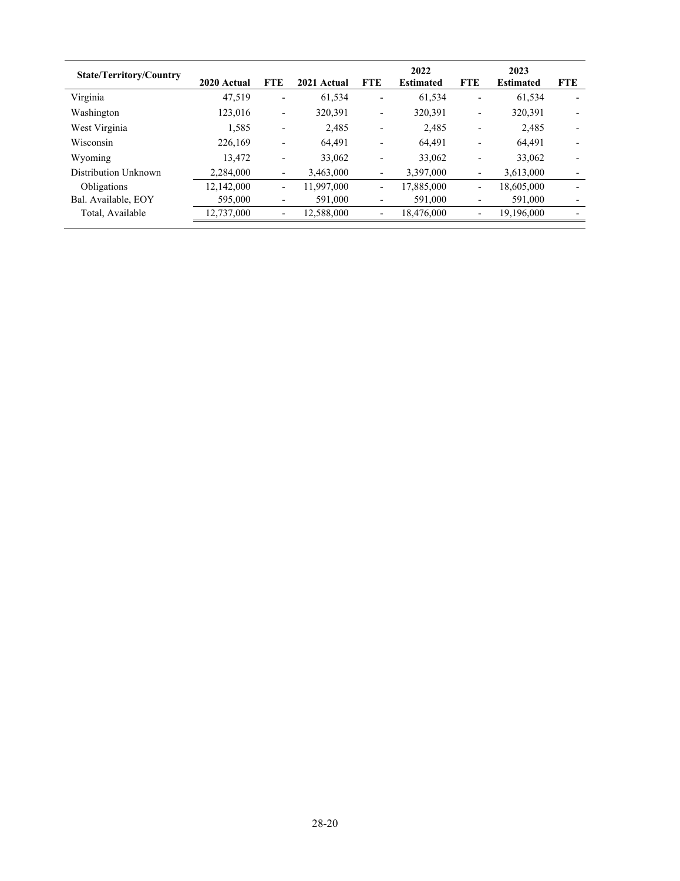| <b>State/Territory/Country</b> | 2020 Actual | <b>FTE</b>               | 2021 Actual | <b>FTE</b>                   | 2022<br><b>Estimated</b> | <b>FTE</b>               | 2023<br><b>Estimated</b> | <b>FTE</b>               |
|--------------------------------|-------------|--------------------------|-------------|------------------------------|--------------------------|--------------------------|--------------------------|--------------------------|
| Virginia                       | 47,519      | $\overline{\phantom{0}}$ | 61.534      | ٠                            | 61.534                   | $\overline{\phantom{0}}$ | 61.534                   | $\overline{\phantom{0}}$ |
| Washington                     | 123,016     | $\overline{\phantom{a}}$ | 320.391     | $\qquad \qquad \blacksquare$ | 320.391                  | $\overline{a}$           | 320,391                  | $\overline{\phantom{0}}$ |
| West Virginia                  | 1,585       | $\overline{\phantom{0}}$ | 2,485       |                              | 2,485                    |                          | 2,485                    | $\overline{\phantom{0}}$ |
| Wisconsin                      | 226,169     |                          | 64.491      | $\overline{\phantom{0}}$     | 64.491                   | $\overline{\phantom{0}}$ | 64.491                   | $\overline{\phantom{0}}$ |
| Wyoming                        | 13,472      | $\overline{\phantom{0}}$ | 33,062      | $\overline{\phantom{0}}$     | 33,062                   | $\overline{a}$           | 33,062                   | $\overline{\phantom{0}}$ |
| Distribution Unknown           | 2.284,000   | $\overline{\phantom{a}}$ | 3,463,000   | $\overline{\phantom{0}}$     | 3.397,000                | $\overline{\phantom{a}}$ | 3,613,000                | $\overline{\phantom{a}}$ |
| Obligations                    | 12,142,000  | $\overline{\phantom{a}}$ | 11,997,000  | $\qquad \qquad \blacksquare$ | 17,885,000               | $\overline{\phantom{a}}$ | 18,605,000               | $\overline{\phantom{0}}$ |
| Bal. Available, EOY            | 595,000     | $\overline{\phantom{0}}$ | 591,000     | $\qquad \qquad \blacksquare$ | 591,000                  | $\overline{\phantom{a}}$ | 591,000                  | $\overline{\phantom{a}}$ |
| Total, Available               | 12,737,000  | $\overline{\phantom{0}}$ | 12,588,000  | $\qquad \qquad \blacksquare$ | 18,476,000               | $\overline{\phantom{0}}$ | 19,196,000               | $\overline{\phantom{0}}$ |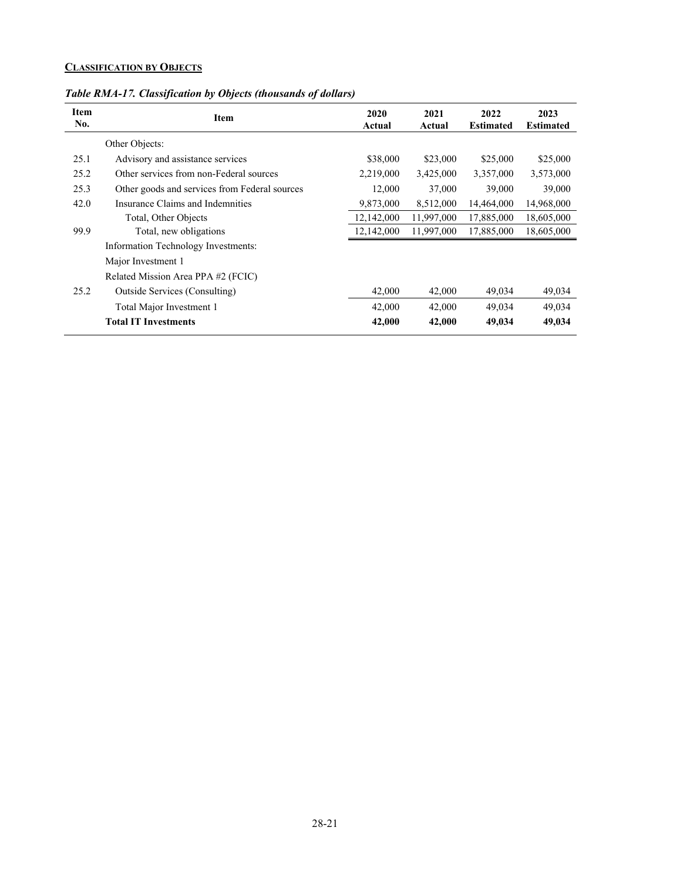# <span id="page-20-0"></span>**CLASSIFICATION BY OBJECTS**

| Item<br>No. | Item                                          | 2020<br>Actual | 2021<br>Actual | 2022<br><b>Estimated</b> | 2023<br><b>Estimated</b> |
|-------------|-----------------------------------------------|----------------|----------------|--------------------------|--------------------------|
|             | Other Objects:                                |                |                |                          |                          |
| 25.1        | Advisory and assistance services              | \$38,000       | \$23,000       | \$25,000                 | \$25,000                 |
| 25.2        | Other services from non-Federal sources       | 2,219,000      | 3,425,000      | 3,357,000                | 3,573,000                |
| 25.3        | Other goods and services from Federal sources | 12,000         | 37,000         | 39,000                   | 39,000                   |
| 42.0        | Insurance Claims and Indemnities              | 9,873,000      | 8,512,000      | 14,464,000               | 14,968,000               |
|             | Total, Other Objects                          | 12,142,000     | 11,997,000     | 17,885,000               | 18,605,000               |
| 99.9        | Total, new obligations                        | 12,142,000     | 11,997,000     | 17,885,000               | 18,605,000               |
|             | Information Technology Investments:           |                |                |                          |                          |
|             | Major Investment 1                            |                |                |                          |                          |
|             | Related Mission Area PPA #2 (FCIC)            |                |                |                          |                          |
| 25.2        | Outside Services (Consulting)                 | 42,000         | 42,000         | 49,034                   | 49,034                   |
|             | Total Major Investment 1                      | 42,000         | 42,000         | 49,034                   | 49,034                   |
|             | <b>Total IT Investments</b>                   | 42,000         | 42,000         | 49,034                   | 49,034                   |
|             |                                               |                |                |                          |                          |

*Table RMA-17. Classification by Objects (thousands of dollars)*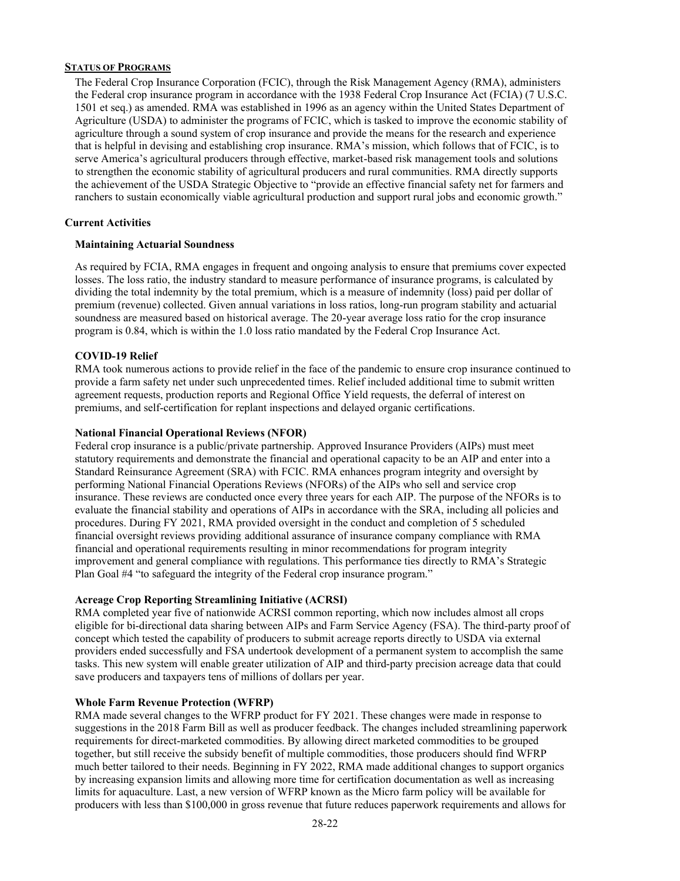#### <span id="page-21-0"></span>**STATUS OF PROGRAMS**

The Federal Crop Insurance Corporation (FCIC), through the Risk Management Agency (RMA), administers the Federal crop insurance program in accordance with the 1938 Federal Crop Insurance Act (FCIA) (7 U.S.C. 1501 et seq.) as amended. RMA was established in 1996 as an agency within the United States Department of Agriculture (USDA) to administer the programs of FCIC, which is tasked to improve the economic stability of agriculture through a sound system of crop insurance and provide the means for the research and experience that is helpful in devising and establishing crop insurance. RMA's mission, which follows that of FCIC, is to serve America's agricultural producers through effective, market-based risk management tools and solutions to strengthen the economic stability of agricultural producers and rural communities. RMA directly supports the achievement of the USDA Strategic Objective to "provide an effective financial safety net for farmers and ranchers to sustain economically viable agricultural production and support rural jobs and economic growth."

#### **Current Activities**

#### **Maintaining Actuarial Soundness**

As required by FCIA, RMA engages in frequent and ongoing analysis to ensure that premiums cover expected losses. The loss ratio, the industry standard to measure performance of insurance programs, is calculated by dividing the total indemnity by the total premium, which is a measure of indemnity (loss) paid per dollar of premium (revenue) collected. Given annual variations in loss ratios, long-run program stability and actuarial soundness are measured based on historical average. The 20-year average loss ratio for the crop insurance program is 0.84, which is within the 1.0 loss ratio mandated by the Federal Crop Insurance Act.

#### **COVID-19 Relief**

RMA took numerous actions to provide relief in the face of the pandemic to ensure crop insurance continued to provide a farm safety net under such unprecedented times. Relief included additional time to submit written agreement requests, production reports and Regional Office Yield requests, the deferral of interest on premiums, and self-certification for replant inspections and delayed organic certifications.

#### **National Financial Operational Reviews (NFOR)**

Federal crop insurance is a public/private partnership. Approved Insurance Providers (AIPs) must meet statutory requirements and demonstrate the financial and operational capacity to be an AIP and enter into a Standard Reinsurance Agreement (SRA) with FCIC. RMA enhances program integrity and oversight by performing National Financial Operations Reviews (NFORs) of the AIPs who sell and service crop insurance. These reviews are conducted once every three years for each AIP. The purpose of the NFORs is to evaluate the financial stability and operations of AIPs in accordance with the SRA, including all policies and procedures. During FY 2021, RMA provided oversight in the conduct and completion of 5 scheduled financial oversight reviews providing additional assurance of insurance company compliance with RMA financial and operational requirements resulting in minor recommendations for program integrity improvement and general compliance with regulations. This performance ties directly to RMA's Strategic Plan Goal #4 "to safeguard the integrity of the Federal crop insurance program."

#### **Acreage Crop Reporting Streamlining Initiative (ACRSI)**

RMA completed year five of nationwide ACRSI common reporting, which now includes almost all crops eligible for bi-directional data sharing between AIPs and Farm Service Agency (FSA). The third-party proof of concept which tested the capability of producers to submit acreage reports directly to USDA via external providers ended successfully and FSA undertook development of a permanent system to accomplish the same tasks. This new system will enable greater utilization of AIP and third-party precision acreage data that could save producers and taxpayers tens of millions of dollars per year.

#### **Whole Farm Revenue Protection (WFRP)**

RMA made several changes to the WFRP product for FY 2021. These changes were made in response to suggestions in the 2018 Farm Bill as well as producer feedback. The changes included streamlining paperwork requirements for direct-marketed commodities. By allowing direct marketed commodities to be grouped together, but still receive the subsidy benefit of multiple commodities, those producers should find WFRP much better tailored to their needs. Beginning in FY 2022, RMA made additional changes to support organics by increasing expansion limits and allowing more time for certification documentation as well as increasing limits for aquaculture. Last, a new version of WFRP known as the Micro farm policy will be available for producers with less than \$100,000 in gross revenue that future reduces paperwork requirements and allows for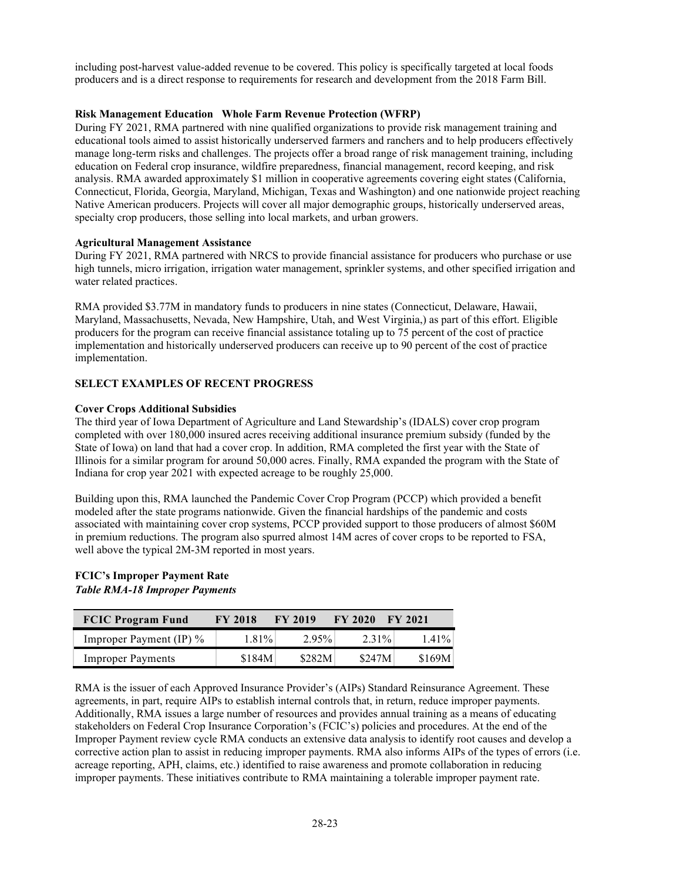including post-harvest value-added revenue to be covered. This policy is specifically targeted at local foods producers and is a direct response to requirements for research and development from the 2018 Farm Bill.

#### **Risk Management Education Whole Farm Revenue Protection (WFRP)**

During FY 2021, RMA partnered with nine qualified organizations to provide risk management training and educational tools aimed to assist historically underserved farmers and ranchers and to help producers effectively manage long-term risks and challenges. The projects offer a broad range of risk management training, including education on Federal crop insurance, wildfire preparedness, financial management, record keeping, and risk analysis. RMA awarded approximately \$1 million in cooperative agreements covering eight states (California, Connecticut, Florida, Georgia, Maryland, Michigan, Texas and Washington) and one nationwide project reaching Native American producers. Projects will cover all major demographic groups, historically underserved areas, specialty crop producers, those selling into local markets, and urban growers.

#### **Agricultural Management Assistance**

During FY 2021, RMA partnered with NRCS to provide financial assistance for producers who purchase or use high tunnels, micro irrigation, irrigation water management, sprinkler systems, and other specified irrigation and water related practices.

RMA provided \$3.77M in mandatory funds to producers in nine states (Connecticut, Delaware, Hawaii, Maryland, Massachusetts, Nevada, New Hampshire, Utah, and West Virginia,) as part of this effort. Eligible producers for the program can receive financial assistance totaling up to 75 percent of the cost of practice implementation and historically underserved producers can receive up to 90 percent of the cost of practice implementation.

#### **SELECT EXAMPLES OF RECENT PROGRESS**

#### **Cover Crops Additional Subsidies**

The third year of Iowa Department of Agriculture and Land Stewardship's (IDALS) cover crop program completed with over 180,000 insured acres receiving additional insurance premium subsidy (funded by the State of Iowa) on land that had a cover crop. In addition, RMA completed the first year with the State of Illinois for a similar program for around 50,000 acres. Finally, RMA expanded the program with the State of Indiana for crop year 2021 with expected acreage to be roughly 25,000.

Building upon this, RMA launched the Pandemic Cover Crop Program (PCCP) which provided a benefit modeled after the state programs nationwide. Given the financial hardships of the pandemic and costs associated with maintaining cover crop systems, PCCP provided support to those producers of almost \$60M in premium reductions. The program also spurred almost 14M acres of cover crops to be reported to FSA, well above the typical 2M-3M reported in most years.

### **FCIC's Improper Payment Rate**

*Table RMA-18 Improper Payments*

| <b>FCIC Program Fund</b>   | <b>FY 2018</b> | <b>FY 2019</b> | <b>FY 2020</b> | <b>FY 2021</b> |
|----------------------------|----------------|----------------|----------------|----------------|
| Improper Payment (IP) $\%$ | $1.81\%$       | $2.95\%$       | $2.31\%$       | $1.41\%$       |
| <b>Improper Payments</b>   | \$184M         | \$282M         | \$247M         | \$169M         |

RMA is the issuer of each Approved Insurance Provider's (AIPs) Standard Reinsurance Agreement. These agreements, in part, require AIPs to establish internal controls that, in return, reduce improper payments. Additionally, RMA issues a large number of resources and provides annual training as a means of educating stakeholders on Federal Crop Insurance Corporation's (FCIC's) policies and procedures. At the end of the Improper Payment review cycle RMA conducts an extensive data analysis to identify root causes and develop a corrective action plan to assist in reducing improper payments. RMA also informs AIPs of the types of errors (i.e. acreage reporting, APH, claims, etc.) identified to raise awareness and promote collaboration in reducing improper payments. These initiatives contribute to RMA maintaining a tolerable improper payment rate.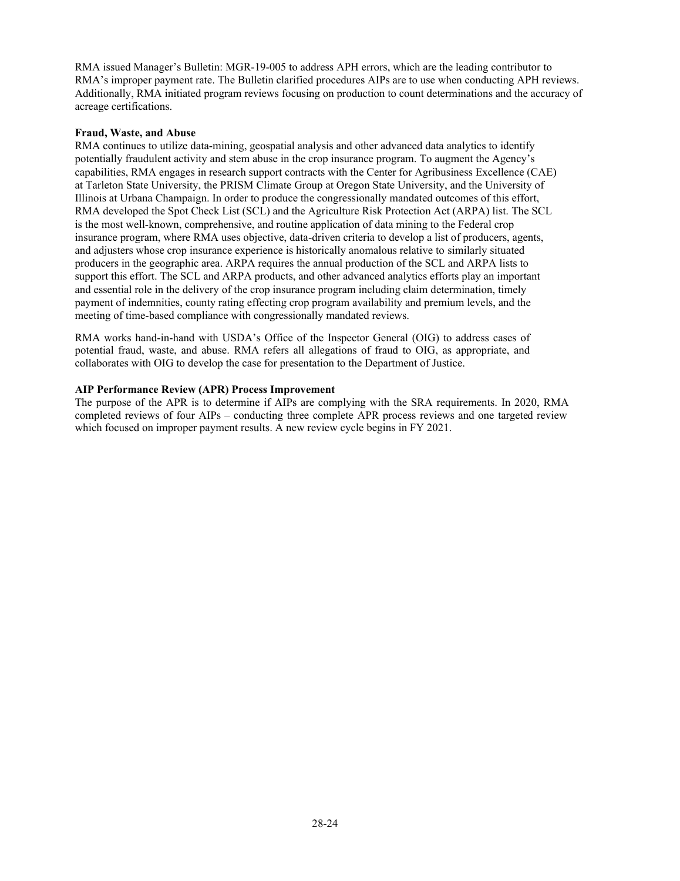RMA issued Manager's Bulletin: MGR-19-005 to address APH errors, which are the leading contributor to RMA's improper payment rate. The Bulletin clarified procedures AIPs are to use when conducting APH reviews. Additionally, RMA initiated program reviews focusing on production to count determinations and the accuracy of acreage certifications.

#### **Fraud, Waste, and Abuse**

RMA continues to utilize data-mining, geospatial analysis and other advanced data analytics to identify potentially fraudulent activity and stem abuse in the crop insurance program. To augment the Agency's capabilities, RMA engages in research support contracts with the Center for Agribusiness Excellence (CAE) at Tarleton State University, the PRISM Climate Group at Oregon State University, and the University of Illinois at Urbana Champaign. In order to produce the congressionally mandated outcomes of this effort, RMA developed the Spot Check List (SCL) and the Agriculture Risk Protection Act (ARPA) list. The SCL is the most well-known, comprehensive, and routine application of data mining to the Federal crop insurance program, where RMA uses objective, data-driven criteria to develop a list of producers, agents, and adjusters whose crop insurance experience is historically anomalous relative to similarly situated producers in the geographic area. ARPA requires the annual production of the SCL and ARPA lists to support this effort. The SCL and ARPA products, and other advanced analytics efforts play an important and essential role in the delivery of the crop insurance program including claim determination, timely payment of indemnities, county rating effecting crop program availability and premium levels, and the meeting of time-based compliance with congressionally mandated reviews.

RMA works hand-in-hand with USDA's Office of the Inspector General (OIG) to address cases of potential fraud, waste, and abuse. RMA refers all allegations of fraud to OIG, as appropriate, and collaborates with OIG to develop the case for presentation to the Department of Justice.

#### **AIP Performance Review (APR) Process Improvement**

The purpose of the APR is to determine if AIPs are complying with the SRA requirements. In 2020, RMA completed reviews of four AIPs – conducting three complete APR process reviews and one targeted review which focused on improper payment results. A new review cycle begins in FY 2021.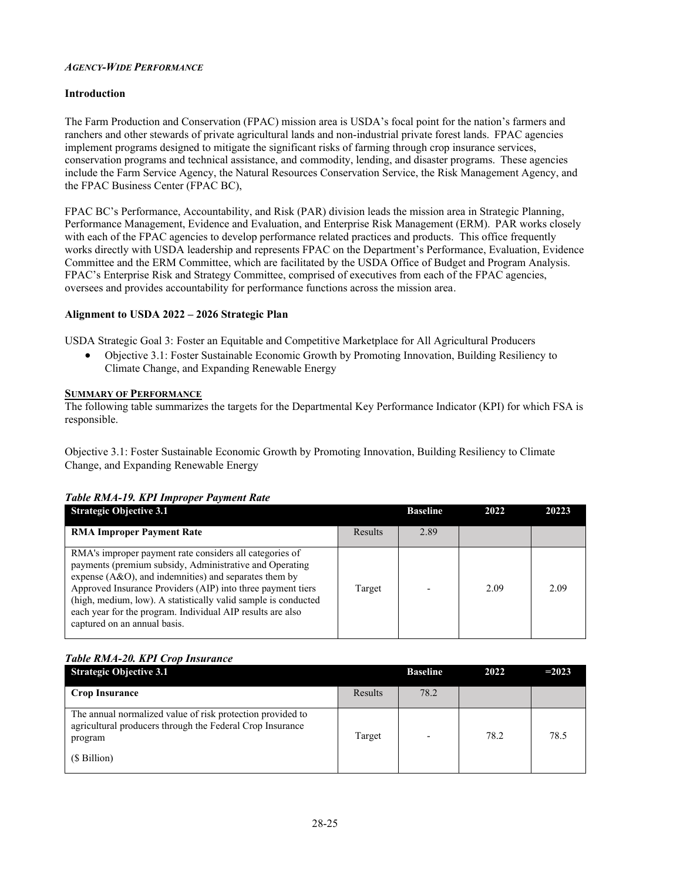#### <span id="page-24-0"></span>*AGENCY-WIDE PERFORMANCE*

#### **Introduction**

The Farm Production and Conservation (FPAC) mission area is USDA's focal point for the nation's farmers and ranchers and other stewards of private agricultural lands and non-industrial private forest lands.  FPAC agencies implement programs designed to mitigate the significant risks of farming through crop insurance services, conservation programs and technical assistance, and commodity, lending, and disaster programs.  These agencies include the Farm Service Agency, the Natural Resources Conservation Service, the Risk Management Agency, and the FPAC Business Center (FPAC BC),

FPAC BC's Performance, Accountability, and Risk (PAR) division leads the mission area in Strategic Planning, Performance Management, Evidence and Evaluation, and Enterprise Risk Management (ERM).  PAR works closely with each of the FPAC agencies to develop performance related practices and products. This office frequently works directly with USDA leadership and represents FPAC on the Department's Performance, Evaluation, Evidence Committee and the ERM Committee, which are facilitated by the USDA Office of Budget and Program Analysis.  FPAC's Enterprise Risk and Strategy Committee, comprised of executives from each of the FPAC agencies, oversees and provides accountability for performance functions across the mission area.

#### **Alignment to USDA 2022 – 2026 Strategic Plan**

USDA Strategic Goal 3: Foster an Equitable and Competitive Marketplace for All Agricultural Producers

· Objective 3.1: Foster Sustainable Economic Growth by Promoting Innovation, Building Resiliency to Climate Change, and Expanding Renewable Energy

#### **SUMMARY OF PERFORMANCE**

The following table summarizes the targets for the Departmental Key Performance Indicator (KPI) for which FSA is responsible. 

Objective 3.1: Foster Sustainable Economic Growth by Promoting Innovation, Building Resiliency to Climate Change, and Expanding Renewable Energy

#### *Table RMA-19. KPI Improper Payment Rate*

| <b>Strategic Objective 3.1</b>                                                                                                                                                                                                                                                                                                                                                                             |         | <b>Baseline</b> | 2022 | 20223 |
|------------------------------------------------------------------------------------------------------------------------------------------------------------------------------------------------------------------------------------------------------------------------------------------------------------------------------------------------------------------------------------------------------------|---------|-----------------|------|-------|
| <b>RMA Improper Payment Rate</b>                                                                                                                                                                                                                                                                                                                                                                           | Results | 2.89            |      |       |
| RMA's improper payment rate considers all categories of<br>payments (premium subsidy, Administrative and Operating<br>expense (A&O), and indemnities) and separates them by<br>Approved Insurance Providers (AIP) into three payment tiers<br>(high, medium, low). A statistically valid sample is conducted<br>each year for the program. Individual AIP results are also<br>captured on an annual basis. | Target  |                 | 2.09 | 2.09  |

# *Table RMA-20. KPI Crop Insurance*

| <b>Strategic Objective 3.1</b>                                                                                                                     |         | <b>Baseline</b> | 2022 | $=2023$ |
|----------------------------------------------------------------------------------------------------------------------------------------------------|---------|-----------------|------|---------|
| <b>Crop Insurance</b>                                                                                                                              | Results | 78.2            |      |         |
| The annual normalized value of risk protection provided to<br>agricultural producers through the Federal Crop Insurance<br>program<br>(\$ Billion) | Target  |                 | 78.2 | 78.5    |